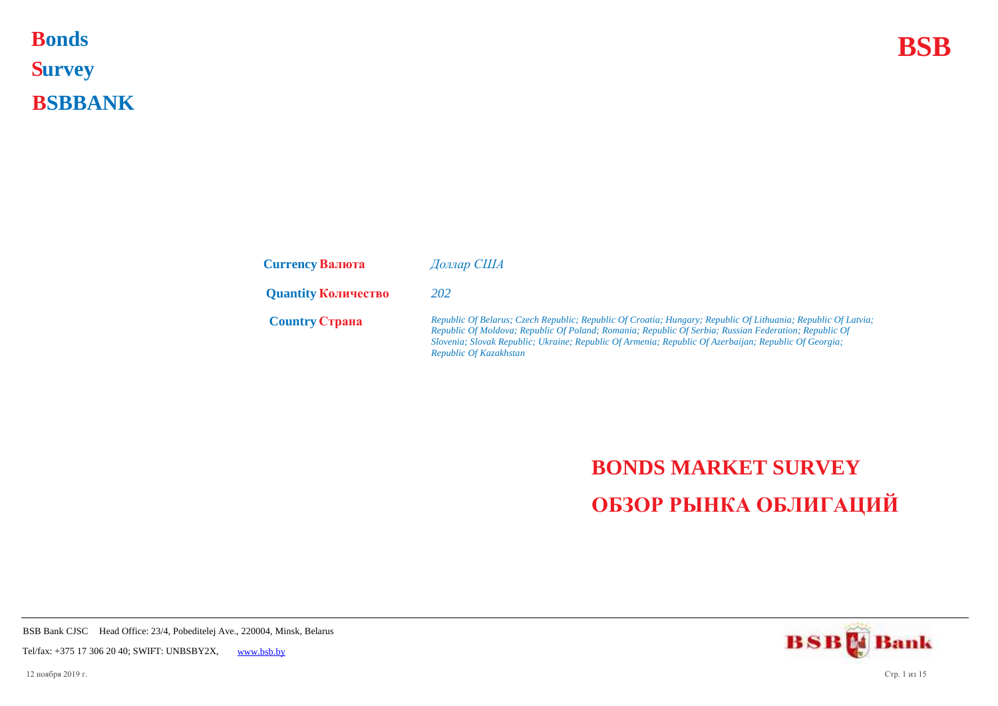## **Bonds BSB S urvey B SBBANK Bonds**

| <b>Currency Валюта</b>     | Доллар США                                                                                                                                                                                                                                                                                                                                                |
|----------------------------|-----------------------------------------------------------------------------------------------------------------------------------------------------------------------------------------------------------------------------------------------------------------------------------------------------------------------------------------------------------|
| <b>Quantity Количество</b> | 202                                                                                                                                                                                                                                                                                                                                                       |
| <b>Country CTPAHA</b>      | Republic Of Belarus; Czech Republic; Republic Of Croatia; Hungary; Republic Of Lithuania; Republic Of Latvia;<br>Republic Of Moldova; Republic Of Poland; Romania; Republic Of Serbia; Russian Federation; Republic Of<br>Slovenia; Slovak Republic; Ukraine; Republic Of Armenia; Republic Of Azerbaijan; Republic Of Georgia;<br>Republic Of Kazakhstan |

## **BONDS MARKET SURVEY ОБЗОР РЫНКА ОБЛИГАЦИЙ**

**BSBM** Bank

BSB Bank CJSC Head Office: 23/4, Pobeditelej Ave., 220004, Minsk, Belarus

Tel/fax: +375 17 306 20 40; SWIFT: UNBSBY2X, [www.bsb.by](https://www.bsb.by/)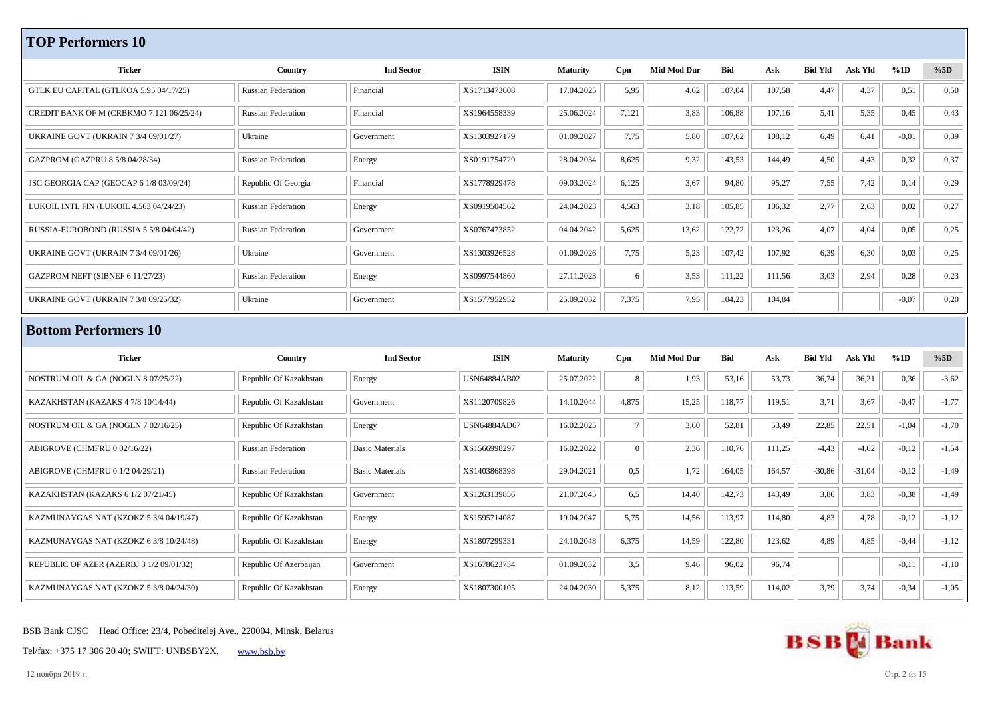## **TOP Performers 10**

| <b>Ticker</b>                               | Country                   | <b>Ind Sector</b>      | <b>ISIN</b>         | <b>Maturity</b> | Cpn             | <b>Mid Mod Dur</b> | Bid        | Ask    | <b>Bid Yld</b> | <b>Ask Yld</b> | %1D     | %5D     |
|---------------------------------------------|---------------------------|------------------------|---------------------|-----------------|-----------------|--------------------|------------|--------|----------------|----------------|---------|---------|
| GTLK EU CAPITAL (GTLKOA 5.95 04/17/25)      | Russian Federation        | Financial              | XS1713473608        | 17.04.2025      | 5,95            | 4,62               | 107,04     | 107,58 | 4,47           | 4,37           | 0,51    | 0,50    |
| CREDIT BANK OF M (CRBKMO 7.121 06/25/24)    | <b>Russian Federation</b> | Financial              | XS1964558339        | 25.06.2024      | 7,121           | 3,83               | 106,88     | 107,16 | 5,41           | 5,35           | 0,45    | 0,43    |
|                                             |                           |                        |                     |                 |                 |                    |            |        |                |                |         |         |
| <b>UKRAINE GOVT (UKRAIN 7 3/4 09/01/27)</b> | Ukraine                   | Government             | XS1303927179        | 01.09.2027      | 7,75            | 5,80               | 107,62     | 108,12 | 6,49           | 6,41           | $-0,01$ | 0,39    |
| GAZPROM (GAZPRU 8 5/8 04/28/34)             | <b>Russian Federation</b> | Energy                 | XS0191754729        | 28.04.2034      | 8,625           | 9,32               | 143,53     | 144,49 | 4,50           | 4,43           | 0,32    | 0,37    |
| JSC GEORGIA CAP (GEOCAP 6 1/8 03/09/24)     | Republic Of Georgia       | Financial              | XS1778929478        | 09.03.2024      | 6,125           | 3,67               | 94,80      | 95,27  | 7,55           | 7,42           | 0,14    | 0,29    |
| LUKOIL INTL FIN (LUKOIL 4.563 04/24/23)     | <b>Russian Federation</b> | Energy                 | XS0919504562        | 24.04.2023      | 4,563           | 3,18               | 105,85     | 106,32 | 2,77           | 2,63           | 0,02    | 0,27    |
| RUSSIA-EUROBOND (RUSSIA 5 5/8 04/04/42)     | <b>Russian Federation</b> | Government             | XS0767473852        | 04.04.2042      | 5,625           | 13,62              | 122,72     | 123,26 | 4,07           | 4,04           | 0,05    | 0,25    |
| <b>UKRAINE GOVT (UKRAIN 7 3/4 09/01/26)</b> | Ukraine                   | Government             | XS1303926528        | 01.09.2026      | 7,75            | 5,23               | 107,42     | 107,92 | 6,39           | 6,30           | 0,03    | 0,25    |
| GAZPROM NEFT (SIBNEF 6 11/27/23)            | <b>Russian Federation</b> | Energy                 | XS0997544860        | 27.11.2023      | 6               | 3,53               | 111,22     | 111,56 | 3,03           | 2,94           | 0,28    | 0,23    |
| <b>UKRAINE GOVT (UKRAIN 7 3/8 09/25/32)</b> | Ukraine                   | Government             | XS1577952952        | 25.09.2032      | 7,375           | 7,95               | 104,23     | 104,84 |                |                | $-0,07$ | 0,20    |
|                                             |                           |                        |                     |                 |                 |                    |            |        |                |                |         |         |
|                                             |                           |                        |                     |                 |                 |                    |            |        |                |                |         |         |
| <b>Bottom Performers 10</b>                 |                           |                        |                     |                 |                 |                    |            |        |                |                |         |         |
| <b>Ticker</b>                               | Country                   | <b>Ind Sector</b>      | <b>ISIN</b>         | <b>Maturity</b> | Cpn             | <b>Mid Mod Dur</b> | <b>Bid</b> | Ask    | <b>Bid Yld</b> | Ask Yld        | %1D     | %5D     |
| NOSTRUM OIL & GA (NOGLN 8 07/25/22)         | Republic Of Kazakhstan    | Energy                 | <b>USN64884AB02</b> | 25.07.2022      | 8               | 1,93               | 53,16      | 53,73  | 36,74          | 36,21          | 0,36    | $-3,62$ |
| KAZAKHSTAN (KAZAKS 4 7/8 10/14/44)          | Republic Of Kazakhstan    | Government             | XS1120709826        | 14.10.2044      | 4,875           | 15,25              | 118,77     | 119,51 | 3,71           | 3,67           | $-0,47$ | $-1,77$ |
| NOSTRUM OIL & GA (NOGLN 7 02/16/25)         | Republic Of Kazakhstan    | Energy                 | USN64884AD67        | 16.02.2025      | $7\phantom{.0}$ | 3,60               | 52,81      | 53,49  | 22,85          | 22,51          | $-1,04$ | $-1,70$ |
| ABIGROVE (CHMFRU 0 02/16/22)                | <b>Russian Federation</b> | <b>Basic Materials</b> | XS1566998297        | 16.02.2022      | $\overline{0}$  | 2,36               | 110,76     | 111,25 | $-4,43$        | $-4,62$        | $-0,12$ | $-1,54$ |
| ABIGROVE (CHMFRU 0 1/2 04/29/21)            | <b>Russian Federation</b> | <b>Basic Materials</b> | XS1403868398        | 29.04.2021      | 0,5             | 1,72               | 164,05     | 164,57 | $-30,86$       | $-31,04$       | $-0,12$ | $-1,49$ |
| KAZAKHSTAN (KAZAKS 6 1/2 07/21/45)          | Republic Of Kazakhstan    | Government             | XS1263139856        | 21.07.2045      | 6,5             | 14,40              | 142,73     | 143,49 | 3,86           | 3,83           | $-0,38$ | $-1,49$ |
| KAZMUNAYGAS NAT (KZOKZ 5 3/4 04/19/47)      | Republic Of Kazakhstan    | Energy                 | XS1595714087        | 19.04.2047      | 5,75            | 14,56              | 113,97     | 114,80 | 4,83           | 4,78           | $-0,12$ | $-1,12$ |
| KAZMUNAYGAS NAT (KZOKZ 6 3/8 10/24/48)      | Republic Of Kazakhstan    | Energy                 | XS1807299331        | 24.10.2048      | 6,375           | 14,59              | 122,80     | 123,62 | 4,89           | 4,85           | $-0,44$ | $-1,12$ |
| REPUBLIC OF AZER (AZERBJ 3 1/2 09/01/32)    | Republic Of Azerbaijan    | Government             | XS1678623734        | 01.09.2032      | 3,5             | 9,46               | 96,02      | 96,74  |                |                | $-0,11$ | $-1,10$ |

BSB Bank CJSC Head Office: 23/4, Pobeditelej Ave., 220004, Minsk, Belarus



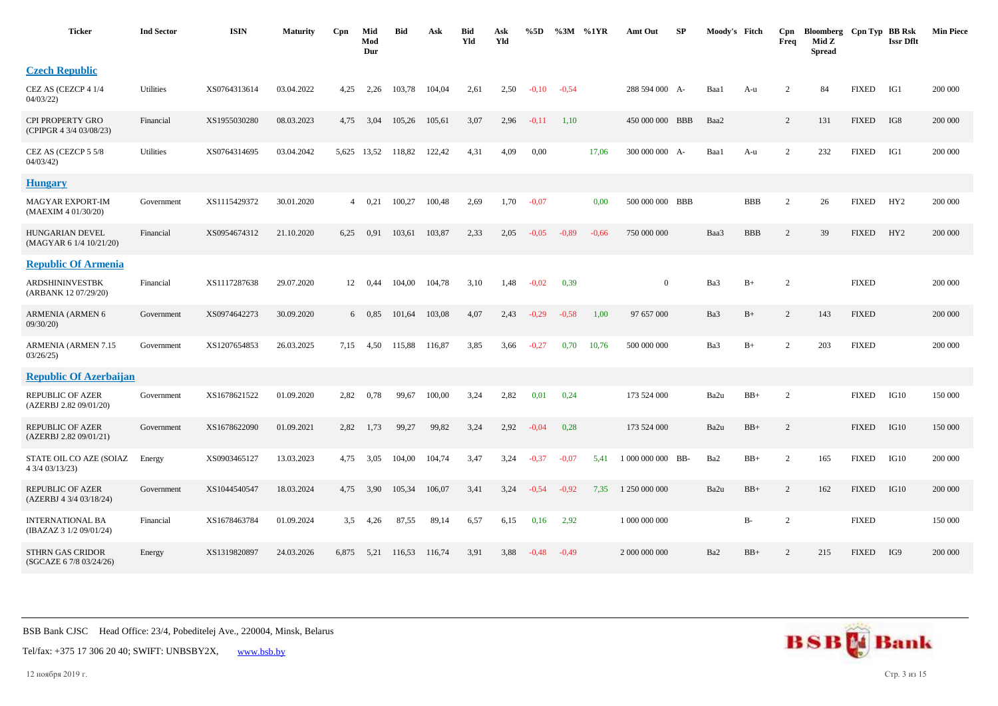| <b>Ticker</b>                                     | <b>Ind Sector</b> | <b>ISIN</b>  | <b>Maturity</b> | Cpn   | Mid<br>Mod<br>Dur | <b>Bid</b> | Ask    | <b>Bid</b><br>Yld | Ask<br>Yld | %5D     | %3M     | %1YR    | Amt Out           | SP | Moody's Fitch |            | Cpn<br>Freq    | Bloomberg<br>Mid Z<br><b>Spread</b> | Cpn Typ BB Rsk | <b>Issr Dflt</b> | <b>Min Piece</b> |
|---------------------------------------------------|-------------------|--------------|-----------------|-------|-------------------|------------|--------|-------------------|------------|---------|---------|---------|-------------------|----|---------------|------------|----------------|-------------------------------------|----------------|------------------|------------------|
| <b>Czech Republic</b>                             |                   |              |                 |       |                   |            |        |                   |            |         |         |         |                   |    |               |            |                |                                     |                |                  |                  |
| CEZ AS (CEZCP 4 1/4<br>04/03/22                   | Utilities         | XS0764313614 | 03.04.2022      | 4,25  | 2,26              | 103,78     | 104,04 | 2,61              | 2,50       | $-0,10$ | $-0,54$ |         | 288 594 000 A-    |    | Baa1          | A-u        | 2              | 84                                  | <b>FIXED</b>   | IG1              | 200 000          |
| CPI PROPERTY GRO<br>(CPIPGR 4 3/4 03/08/23)       | Financial         | XS1955030280 | 08.03.2023      | 4,75  | 3,04              | 105,26     | 105,61 | 3,07              | 2,96       | $-0,11$ | 1,10    |         | 450 000 000 BBB   |    | Baa2          |            | 2              | 131                                 | <b>FIXED</b>   | IG8              | 200 000          |
| CEZ AS (CEZCP 5 5/8<br>04/03/42                   | Utilities         | XS0764314695 | 03.04.2042      |       | 5,625 13,52       | 118,82     | 122,42 | 4,31              | 4,09       | 0,00    |         | 17,06   | 300 000 000 A-    |    | Baa1          | A-u        | 2              | 232                                 | <b>FIXED</b>   | IG1              | 200 000          |
| <b>Hungary</b>                                    |                   |              |                 |       |                   |            |        |                   |            |         |         |         |                   |    |               |            |                |                                     |                |                  |                  |
| <b>MAGYAR EXPORT-IM</b><br>(MAEXIM 4 01/30/20)    | Government        | XS1115429372 | 30.01.2020      | 4     | 0,21              | 100,27     | 100,48 | 2,69              | 1,70       | $-0,07$ |         | 0,00    | 500 000 000 BBB   |    |               | <b>BBB</b> | $\overline{2}$ | 26                                  | <b>FIXED</b>   | HY <sub>2</sub>  | 200 000          |
| <b>HUNGARIAN DEVEL</b><br>(MAGYAR 6 1/4 10/21/20) | Financial         | XS0954674312 | 21.10.2020      | 6,25  | 0.91              | 103,61     | 103,87 | 2,33              | 2,05       | $-0.05$ | $-0.89$ | $-0.66$ | 750 000 000       |    | Baa3          | <b>BBB</b> | $\overline{2}$ | 39                                  | <b>FIXED</b>   | HY <sub>2</sub>  | 200 000          |
| <b>Republic Of Armenia</b>                        |                   |              |                 |       |                   |            |        |                   |            |         |         |         |                   |    |               |            |                |                                     |                |                  |                  |
| ARDSHININVESTBK<br>(ARBANK 12 07/29/20)           | Financial         | XS1117287638 | 29.07.2020      | 12    | 0.44              | 104,00     | 104,78 | 3,10              | 1,48       | $-0.02$ | 0,39    |         | $\theta$          |    | Ba3           | $B+$       | $\overline{c}$ |                                     | <b>FIXED</b>   |                  | 200 000          |
| ARMENIA (ARMEN 6<br>09/30/20                      | Government        | XS0974642273 | 30.09.2020      |       | $6\quad 0.85$     | 101,64     | 103,08 | 4,07              | 2,43       | $-0,29$ | $-0.58$ | 1,00    | 97 657 000        |    | Ba3           | $B+$       | $\overline{2}$ | 143                                 | <b>FIXED</b>   |                  | 200 000          |
| ARMENIA (ARMEN 7.15<br>03/26/25                   | Government        | XS1207654853 | 26.03.2025      | 7,15  | 4,50              | 115,88     | 116,87 | 3,85              | 3,66       | $-0,27$ | 0,70    | 10,76   | 500 000 000       |    | Ba3           | $B+$       | 2              | 203                                 | <b>FIXED</b>   |                  | 200 000          |
| <b>Republic Of Azerbaijan</b>                     |                   |              |                 |       |                   |            |        |                   |            |         |         |         |                   |    |               |            |                |                                     |                |                  |                  |
| <b>REPUBLIC OF AZER</b><br>(AZERBJ 2.82 09/01/20) | Government        | XS1678621522 | 01.09.2020      | 2,82  | 0,78              | 99,67      | 100,00 | 3,24              | 2,82       | 0,01    | 0,24    |         | 173 524 000       |    | Ba2u          | $BB+$      | $\overline{2}$ |                                     | <b>FIXED</b>   | IG10             | 150 000          |
| REPUBLIC OF AZER<br>(AZERBJ 2.82 09/01/21)        | Government        | XS1678622090 | 01.09.2021      | 2,82  | 1,73              | 99,27      | 99,82  | 3,24              | 2,92       | $-0.04$ | 0,28    |         | 173 524 000       |    | Ba2u          | $BB+$      | 2              |                                     | <b>FIXED</b>   | IG10             | 150 000          |
| STATE OIL CO AZE (SOIAZ<br>4 3/4 03/13/23)        | Energy            | XS0903465127 | 13.03.2023      | 4,75  | 3,05              | 104,00     | 104,74 | 3,47              | 3,24       | $-0,37$ | $-0,07$ | 5,41    | 1 000 000 000 BB- |    | Ba2           | $BB+$      | $\overline{2}$ | 165                                 | <b>FIXED</b>   | IG10             | 200 000          |
| REPUBLIC OF AZER<br>(AZERBJ 4 3/4 03/18/24)       | Government        | XS1044540547 | 18.03.2024      | 4,75  | 3,90              | 105,34     | 106,07 | 3,41              | 3,24       | $-0,54$ | $-0.92$ | 7,35    | 1 250 000 000     |    | Ba2u          | $BB+$      | 2              | 162                                 | <b>FIXED</b>   | IG10             | 200 000          |
| INTERNATIONAL BA<br>(IBAZAZ 3 1/2 09/01/24)       | Financial         | XS1678463784 | 01.09.2024      | 3.5   | 4,26              | 87,55      | 89,14  | 6,57              | 6,15       | 0,16    | 2,92    |         | 1 000 000 000     |    |               | B-         | $\overline{2}$ |                                     | <b>FIXED</b>   |                  | 150 000          |
| STHRN GAS CRIDOR<br>(SGCAZE 6 7/8 03/24/26)       | Energy            | XS1319820897 | 24.03.2026      | 6,875 | 5,21              | 116,53     | 116,74 | 3,91              | 3,88       | $-0.48$ | $-0,49$ |         | 2 000 000 000     |    | Ba2           | $BB+$      | 2              | 215                                 | <b>FIXED</b>   | IG9              | 200 000          |



12 ноября 2019 г. Стр. 3 из 15

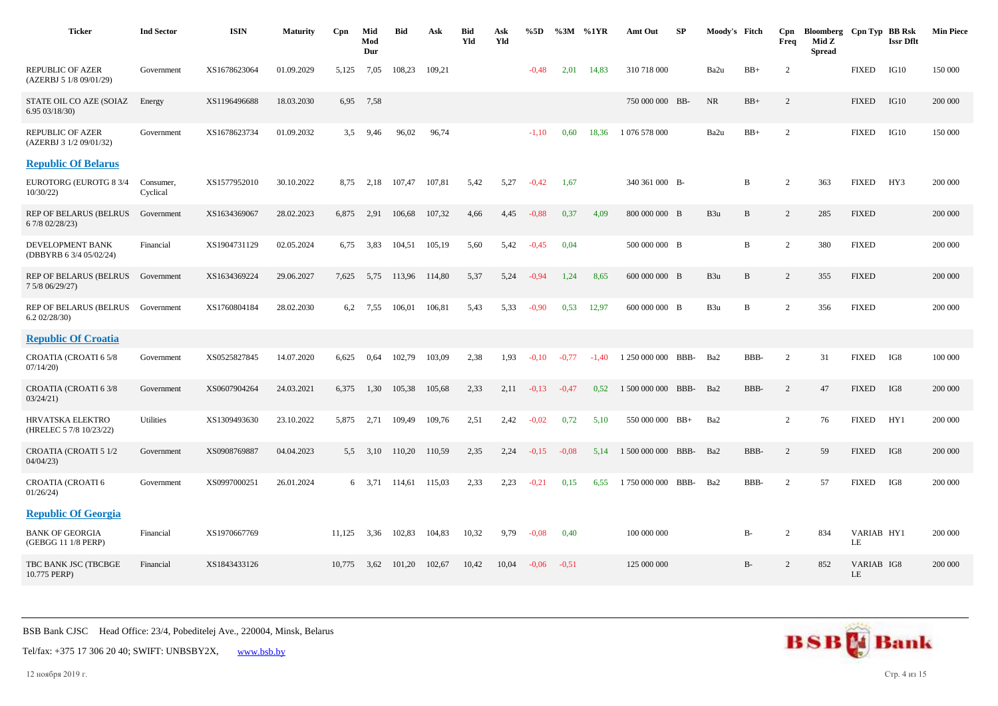| <b>Ticker</b>                                    | <b>Ind Sector</b>     | <b>ISIN</b>  | <b>Maturity</b> | Cpn    | Mid<br>Mod<br>Dur | <b>Bid</b>  | Ask    | <b>Bid</b><br>Yld | Ask<br>Yld | %5D     | $\%3M$  | %1YR    | Amt Out            | SP   | Moody's Fitch   |             | Cpn<br>Freq    | Bloomberg Cpn Typ BB Rsk<br>Mid Z<br><b>Spread</b> |                  | <b>Issr Dflt</b> | <b>Min Piece</b> |
|--------------------------------------------------|-----------------------|--------------|-----------------|--------|-------------------|-------------|--------|-------------------|------------|---------|---------|---------|--------------------|------|-----------------|-------------|----------------|----------------------------------------------------|------------------|------------------|------------------|
| REPUBLIC OF AZER<br>(AZERBJ 5 1/8 09/01/29)      | Government            | XS1678623064 | 01.09.2029      | 5,125  | 7,05              | 108,23      | 109,21 |                   |            | $-0,48$ | 2,01    | 14,83   | 310 718 000        |      | Ba2u            | $BB+$       | 2              |                                                    | <b>FIXED</b>     | IG10             | 150 000          |
| STATE OIL CO AZE (SOIAZ<br>6.9503/18/30          | Energy                | XS1196496688 | 18.03.2030      | 6,95   | 7,58              |             |        |                   |            |         |         |         | 750 000 000 BB-    |      | <b>NR</b>       | $BB+$       | 2              |                                                    | <b>FIXED</b>     | IG10             | 200 000          |
| REPUBLIC OF AZER<br>(AZERBJ 3 1/2 09/01/32)      | Government            | XS1678623734 | 01.09.2032      | 3,5    | 9,46              | 96,02       | 96,74  |                   |            | $-1.10$ | 0.60    | 18,36   | 1 076 578 000      |      | Ba2u            | $BB+$       | 2              |                                                    | <b>FIXED</b>     | IG10             | 150 000          |
| <b>Republic Of Belarus</b>                       |                       |              |                 |        |                   |             |        |                   |            |         |         |         |                    |      |                 |             |                |                                                    |                  |                  |                  |
| EUROTORG (EUROTG 8 3/4<br>10/30/22               | Consumer,<br>Cyclical | XS1577952010 | 30.10.2022      | 8,75   | 2,18              | 107.47      | 107,81 | 5,42              | 5,27       | $-0,42$ | 1,67    |         | 340 361 000 B-     |      |                 | B           | 2              | 363                                                | <b>FIXED</b>     | HY3              | 200 000          |
| <b>REP OF BELARUS (BELRUS</b><br>6 7/8 02/28/23) | Government            | XS1634369067 | 28.02.2023      | 6,875  | 2,91              | 106,68      | 107,32 | 4,66              | 4,45       | $-0.88$ | 0.37    | 4,09    | 800 000 000 B      |      | B <sub>3u</sub> | B           | 2              | 285                                                | <b>FIXED</b>     |                  | 200 000          |
| DEVELOPMENT BANK<br>(DBBYRB 6 3/4 05/02/24)      | Financial             | XS1904731129 | 02.05.2024      | 6,75   | 3,83              | 104.51      | 105,19 | 5,60              | 5,42       | $-0.45$ | 0,04    |         | 500 000 000 B      |      |                 | $\mathbf B$ | $\overline{2}$ | 380                                                | <b>FIXED</b>     |                  | 200 000          |
| <b>REP OF BELARUS (BELRUS</b><br>7 5/8 06/29/27) | Government            | XS1634369224 | 29.06.2027      | 7.625  | 5,75              | 113,96      | 114,80 | 5,37              | 5,24       | $-0.94$ | 1,24    | 8,65    | 600 000 000 B      |      | B <sub>3u</sub> | B           | 2              | 355                                                | <b>FIXED</b>     |                  | 200 000          |
| REP OF BELARUS (BELRUS Government<br>6.202/28/30 |                       | XS1760804184 | 28.02.2030      | 6.2    | 7,55              | 106,01      | 106,81 | 5,43              | 5,33       | $-0.90$ | 0.53    | 12,97   | 600 000 000 B      |      | B <sub>3u</sub> | B           | $\overline{2}$ | 356                                                | <b>FIXED</b>     |                  | 200 000          |
| <b>Republic Of Croatia</b>                       |                       |              |                 |        |                   |             |        |                   |            |         |         |         |                    |      |                 |             |                |                                                    |                  |                  |                  |
| CROATIA (CROATI 6 5/8<br>07/14/20                | Government            | XS0525827845 | 14.07.2020      | 6,625  | 0,64              | 102,79      | 103,09 | 2,38              | 1,93       | $-0.10$ | $-0,77$ | $-1,40$ | 1 250 000 000      | BBB- | Ba2             | BBB-        | 2              | 31                                                 | <b>FIXED</b>     | IG8              | 100 000          |
| CROATIA (CROATI 6 3/8<br>03/24/21                | Government            | XS0607904264 | 24.03.2021      | 6,375  | 1,30              | 105,38      | 105,68 | 2.33              | 2,11       | $-0,13$ | $-0,47$ | 0,52    | 1 500 000 000      | BBB- | Ba2             | BBB-        | 2              | 47                                                 | <b>FIXED</b>     | IG8              | 200 000          |
| HRVATSKA ELEKTRO<br>(HRELEC 5 7/8 10/23/22)      | Utilities             | XS1309493630 | 23.10.2022      | 5,875  | 2,71              | 109,49      | 109,76 | 2,51              | 2,42       | $-0.02$ | 0,72    | 5,10    | 550 000 000 BB+    |      | Ba2             |             | $\overline{c}$ | 76                                                 | <b>FIXED</b>     | HY1              | 200 000          |
| CROATIA (CROATI 5 1/2<br>04/04/23                | Government            | XS0908769887 | 04.04.2023      | 5.5    |                   | 3,10 110,20 | 110,59 | 2,35              | 2,24       | $-0.15$ | $-0.08$ | 5.14    | 1 500 000 000 BBB- |      | Ba2             | BBB-        | 2              | 59                                                 | <b>FIXED</b>     | IG8              | 200 000          |
| CROATIA (CROATI 6<br>01/26/24                    | Government            | XS0997000251 | 26.01.2024      |        | 6 3.71            | 114.61      | 115,03 | 2.33              | 2,23       | $-0,21$ | 0,15    | 6,55    | 1 750 000 000      | BBB- | Ba2             | BBB-        | 2              | 57                                                 | <b>FIXED</b>     | IG8              | 200 000          |
| <b>Republic Of Georgia</b>                       |                       |              |                 |        |                   |             |        |                   |            |         |         |         |                    |      |                 |             |                |                                                    |                  |                  |                  |
| <b>BANK OF GEORGIA</b><br>(GEBGG 11 1/8 PERP)    | Financial             | XS1970667769 |                 | 11,125 | 3,36              | 102,83      | 104,83 | 10,32             | 9,79       | $-0.08$ | 0,40    |         | 100 000 000        |      |                 | $B-$        | 2              | 834                                                | VARIAB HY1<br>LE |                  | 200 000          |
| TBC BANK JSC (TBCBGE<br>10.775 PERP)             | Financial             | XS1843433126 |                 | 10.775 | 3,62              | 101,20      | 102,67 | 10,42             | 10,04      | $-0.06$ | $-0.51$ |         | 125 000 000        |      |                 | $B-$        | 2              | 852                                                | VARIAB IG8<br>LE |                  | 200 000          |



12 ноября 2019 г. Стр. 4 из 15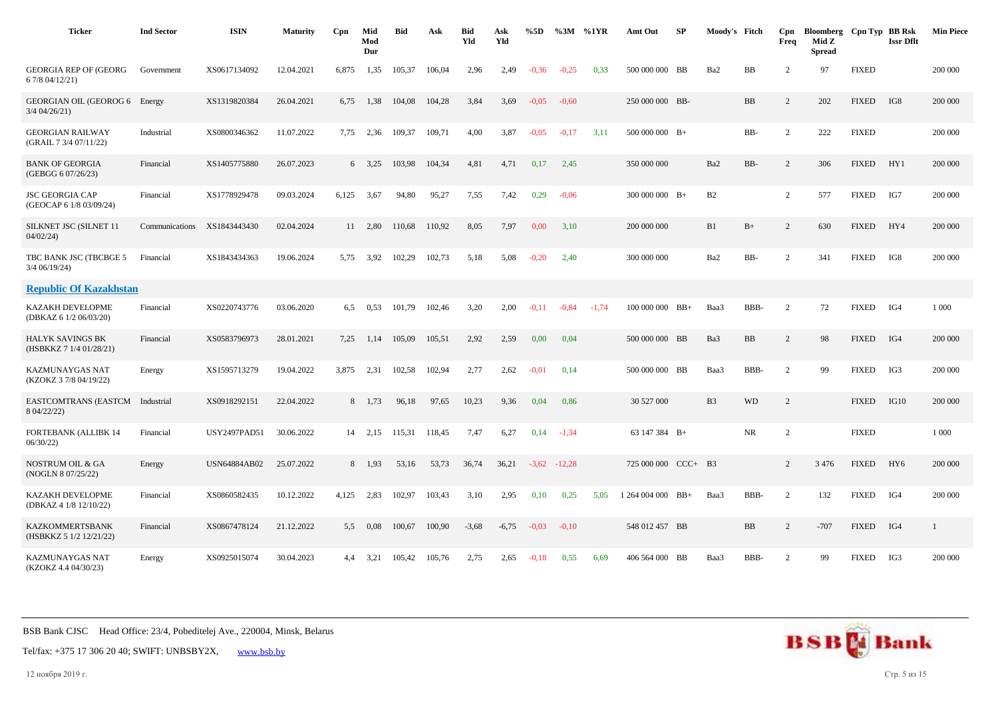| <b>Ticker</b>                                      | <b>Ind Sector</b> | <b>ISIN</b>         | <b>Maturity</b> | Cpn   | Mid<br>Mod<br>Dur | <b>Bid</b> | Ask    | <b>Bid</b><br>Yld | Ask<br>Yld | %5D     |          | $\%3M$ %1YR | Amt Out             | SP        | Moody's Fitch  |           | Cpn<br>Freq    | Bloomberg Cpn Typ BB Rsk<br>Mid Z<br><b>Spread</b> |              | <b>Issr Dflt</b> | <b>Min Piece</b> |
|----------------------------------------------------|-------------------|---------------------|-----------------|-------|-------------------|------------|--------|-------------------|------------|---------|----------|-------------|---------------------|-----------|----------------|-----------|----------------|----------------------------------------------------|--------------|------------------|------------------|
| <b>GEORGIA REP OF (GEORG)</b><br>6 7/8 04/12/21)   | Government        | XS0617134092        | 12.04.2021      | 6.875 | 1,35              | 105,37     | 106.04 | 2.96              | 2,49       | $-0.36$ | $-0.25$  | 0.33        | 500 000 000 BB      |           | Ba2            | <b>BB</b> | 2              | 97                                                 | <b>FIXED</b> |                  | 200 000          |
| GEORGIAN OIL (GEOROG 6 Energy<br>3/4 04/26/21)     |                   | XS1319820384        | 26.04.2021      | 6,75  | 1,38              | 104,08     | 104,28 | 3,84              | 3,69       | $-0.05$ | $-0,60$  |             | 250 000 000 BB-     |           |                | <b>BB</b> | $\overline{c}$ | 202                                                | <b>FIXED</b> | IG8              | 200 000          |
| <b>GEORGIAN RAILWAY</b><br>(GRAIL 7 3/4 07/11/22)  | Industrial        | XS0800346362        | 11.07.2022      | 7,75  | 2,36              | 109,37     | 109,71 | 4,00              | 3,87       | $-0.05$ | $-0,17$  | 3,11        | $500000000$ B+      |           |                | BB-       | $\overline{2}$ | 222                                                | <b>FIXED</b> |                  | 200 000          |
| <b>BANK OF GEORGIA</b><br>(GEBGG 6 07/26/23)       | Financial         | XS1405775880        | 26.07.2023      |       | $6\quad 3.25$     | 103,98     | 104,34 | 4,81              | 4,71       | 0,17    | 2,45     |             | 350 000 000         |           | Ba2            | BB-       | 2              | 306                                                | <b>FIXED</b> | HY1              | 200 000          |
| <b>JSC GEORGIA CAP</b><br>(GEOCAP 6 1/8 03/09/24)  | Financial         | XS1778929478        | 09.03.2024      | 6,125 | 3,67              | 94,80      | 95,27  | 7,55              | 7,42       | 0,29    | $-0.06$  |             | $300\ 000\ 000$ B+  |           | B2             |           | $\overline{2}$ | 577                                                | <b>FIXED</b> | IG7              | 200 000          |
| SILKNET JSC (SILNET 11<br>04/02/24                 | Communications    | XS1843443430        | 02.04.2024      |       | $11 \quad 2,80$   | 110.68     | 110.92 | 8,05              | 7,97       | 0.00    | 3,10     |             | 200 000 000         |           | B1             | $B+$      | $\overline{c}$ | 630                                                | <b>FIXED</b> | HY4              | 200 000          |
| TBC BANK JSC (TBCBGE 5<br>3/4 06/19/24)            | Financial         | XS1843434363        | 19.06.2024      | 5,75  | 3,92              | 102,29     | 102,73 | 5,18              | 5,08       | $-0,20$ | 2,40     |             | 300 000 000         |           | Ba2            | BB-       | 2              | 341                                                | <b>FIXED</b> | IG8              | 200 000          |
| <b>Republic Of Kazakhstan</b>                      |                   |                     |                 |       |                   |            |        |                   |            |         |          |             |                     |           |                |           |                |                                                    |              |                  |                  |
| KAZAKH DEVELOPME<br>(DBKAZ 6 1/2 06/03/20)         | Financial         | XS0220743776        | 03.06.2020      | 6,5   | 0,53              | 101,79     | 102,46 | 3,20              | 2,00       | $-0.11$ | $-0.84$  | $-1.74$     | $100\ 000\ 000$ BB+ |           | Baa3           | BBB-      | 2              | 72                                                 | <b>FIXED</b> | IG4              | 1 0 0 0          |
| <b>HALYK SAVINGS BK</b><br>(HSBKKZ 7 1/4 01/28/21) | Financial         | XS0583796973        | 28.01.2021      | 7,25  | 1,14              | 105,09     | 105,51 | 2,92              | 2,59       | 0,00    | 0,04     |             | 500 000 000 BB      |           | Ba3            | <b>BB</b> | 2              | 98                                                 | <b>FIXED</b> | IG4              | 200 000          |
| KAZMUNAYGAS NAT<br>(KZOKZ 3 7/8 04/19/22)          | Energy            | XS1595713279        | 19.04.2022      | 3,875 | 2,31              | 102,58     | 102,94 | 2,77              | 2,62       | $-0.01$ | 0,14     |             | 500 000 000 BB      |           | Baa3           | BBB-      | 2              | 99                                                 | <b>FIXED</b> | IG3              | 200 000          |
| EASTCOMTRANS (EASTCM Industrial<br>8 04/22/22)     |                   | XS0918292151        | 22.04.2022      |       | 8 1,73            | 96,18      | 97,65  | 10,23             | 9,36       | 0,04    | 0.86     |             | 30 527 000          |           | B <sub>3</sub> | <b>WD</b> | 2              |                                                    | <b>FIXED</b> | IG10             | 200 000          |
| <b>FORTEBANK (ALLIBK 14</b><br>06/30/22            | Financial         | USY2497PAD51        | 30.06.2022      |       | $14 \quad 2,15$   | 115,31     | 118,45 | 7,47              | 6,27       | 0,14    | $-1,34$  |             | 63 147 384 B+       |           |                | <b>NR</b> | $\overline{2}$ |                                                    | <b>FIXED</b> |                  | 1 000            |
| <b>NOSTRUM OIL &amp; GA</b><br>(NOGLN 8 07/25/22)  | Energy            | <b>USN64884AB02</b> | 25.07.2022      | 8     | 1,93              | 53,16      | 53,73  | 36,74             | 36,21      | $-3,62$ | $-12,28$ |             | 725 000 000         | $CCC+ B3$ |                |           | 2              | 3 4 7 6                                            | <b>FIXED</b> | HY <sub>6</sub>  | 200 000          |
| <b>KAZAKH DEVELOPME</b><br>(DBKAZ 4 1/8 12/10/22)  | Financial         | XS0860582435        | 10.12.2022      | 4,125 | 2,83              | 102,97     | 103,43 | 3,10              | 2,95       | 0,10    | 0,25     | 5.05        | $1264004000$ BB+    |           | Baa3           | BBB-      | 2              | 132                                                | <b>FIXED</b> | IG4              | 200 000          |
| <b>KAZKOMMERTSBANK</b><br>(HSBKKZ 5 1/2 12/21/22)  | Financial         | XS0867478124        | 21.12.2022      | 5,5   | 0.08              | 100,67     | 100,90 | $-3,68$           | $-6,75$    | $-0.03$ | $-0,10$  |             | 548 012 457 BB      |           |                | <b>BB</b> | 2              | $-707$                                             | <b>FIXED</b> | IG4              | 1                |
| KAZMUNAYGAS NAT<br>(KZOKZ 4.4 04/30/23)            | Energy            | XS0925015074        | 30.04.2023      | 4.4   | 3,21              | 105,42     | 105,76 | 2,75              | 2,65       | $-0.18$ | 0.55     | 6,69        | 406 564 000 BB      |           | Baa3           | BBB-      | $\overline{2}$ | 99                                                 | <b>FIXED</b> | IG3              | 200 000          |



Tel/fax: +375 17 306 20 40; SWIFT: UNBSBY2X, [www.bsb.by](https://www.bsb.by/)

12 ноября 2019 г. Стр. 5 из 15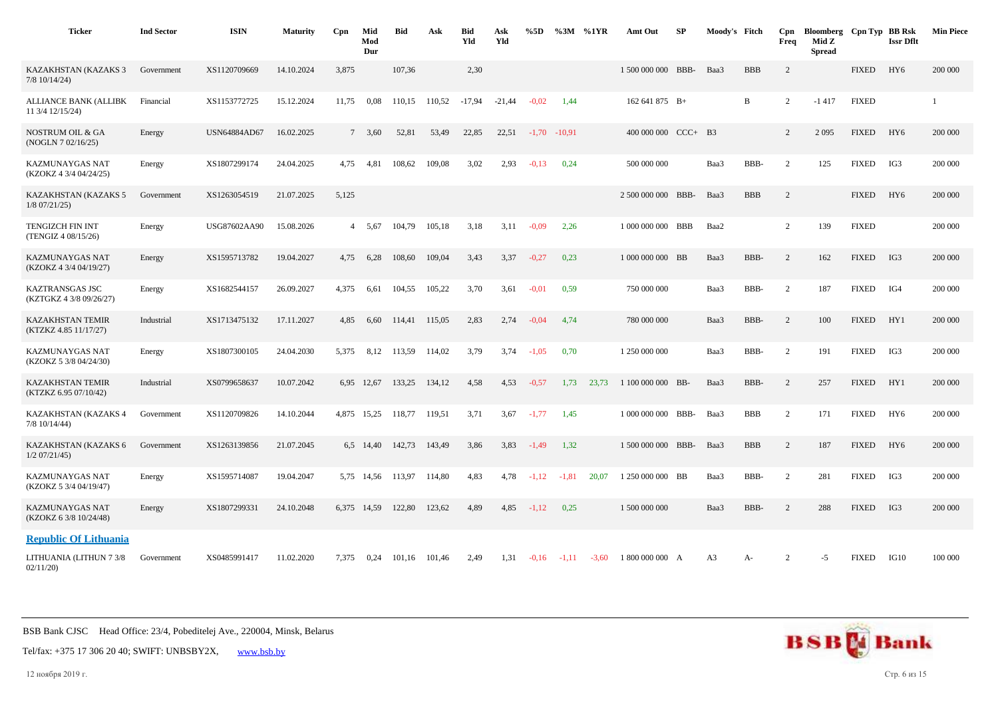| <b>Ticker</b>                                     | <b>Ind Sector</b> | <b>ISIN</b>         | <b>Maturity</b> | Cpn   | Mid<br>Mod<br>Dur | <b>Bid</b>                | Ask    | <b>Bid</b><br>Yld | Ask<br>Yld | %5D     | %3M %1YR |         | Amt Out             | SP | Moody's Fitch  |            | Cpn<br>Freq    | Bloomberg Cpn Typ BB Rsk<br>Mid Z<br><b>Spread</b> |              | <b>Issr Dflt</b> | <b>Min Piece</b> |
|---------------------------------------------------|-------------------|---------------------|-----------------|-------|-------------------|---------------------------|--------|-------------------|------------|---------|----------|---------|---------------------|----|----------------|------------|----------------|----------------------------------------------------|--------------|------------------|------------------|
| KAZAKHSTAN (KAZAKS 3<br>$7/8$ 10/14/24)           | Government        | XS1120709669        | 14.10.2024      | 3,875 |                   | 107,36                    |        | 2,30              |            |         |          |         | 1 500 000 000 BBB-  |    | Baa3           | <b>BBB</b> | 2              |                                                    | <b>FIXED</b> | HY <sub>6</sub>  | 200 000          |
| <b>ALLIANCE BANK (ALLIBK</b><br>11 3/4 12/15/24)  | Financial         | XS1153772725        | 15.12.2024      | 11,75 | 0.08              | 110,15                    | 110,52 | $-17,94$          | $-21,44$   | $-0.02$ | 1,44     |         | 162 641 875 B+      |    |                | B          | 2              | $-1417$                                            | <b>FIXED</b> |                  |                  |
| <b>NOSTRUM OIL &amp; GA</b><br>(NOGLN 7 02/16/25) | Energy            | <b>USN64884AD67</b> | 16.02.2025      |       | 7 3,60            | 52,81                     | 53,49  | 22,85             | 22,51      | $-1,70$ | $-10,91$ |         | $400000000$ CCC+ B3 |    |                |            | 2              | 2 0 9 5                                            | <b>FIXED</b> | HY <sub>6</sub>  | 200 000          |
| <b>KAZMUNAYGAS NAT</b><br>(KZOKZ 4 3/4 04/24/25)  | Energy            | XS1807299174        | 24.04.2025      | 4,75  | 4,81              | 108,62                    | 109,08 | 3,02              | 2,93       | $-0,13$ | 0,24     |         | 500 000 000         |    | Baa3           | BBB-       | 2              | 125                                                | <b>FIXED</b> | IG3              | 200 000          |
| KAZAKHSTAN (KAZAKS 5<br>$1/8$ 07/21/25)           | Government        | XS1263054519        | 21.07.2025      | 5,125 |                   |                           |        |                   |            |         |          |         | 2 500 000 000 BBB-  |    | Baa3           | <b>BBB</b> | 2              |                                                    | <b>FIXED</b> | HY <sub>6</sub>  | 200 000          |
| <b>TENGIZCH FIN INT</b><br>(TENGIZ 4 08/15/26)    | Energy            | USG87602AA90        | 15.08.2026      |       | 4 5,67            | 104,79                    | 105,18 | 3,18              | 3,11       | $-0.09$ | 2,26     |         | 1 000 000 000 BBB   |    | Baa2           |            | $\overline{2}$ | 139                                                | <b>FIXED</b> |                  | 200 000          |
| KAZMUNAYGAS NAT<br>(KZOKZ 4 3/4 04/19/27)         | Energy            | XS1595713782        | 19.04.2027      | 4.75  | 6,28              | 108.60                    | 109,04 | 3,43              | 3.37       | $-0,27$ | 0.23     |         | 1 000 000 000 BB    |    | Baa3           | BBB-       | 2              | 162                                                | <b>FIXED</b> | IG3              | 200 000          |
| KAZTRANSGAS JSC<br>(KZTGKZ 4 3/8 09/26/27)        | Energy            | XS1682544157        | 26.09.2027      | 4,375 | 6,61              | 104,55                    | 105,22 | 3,70              | 3,61       | $-0,01$ | 0,59     |         | 750 000 000         |    | Baa3           | BBB-       | $\overline{c}$ | 187                                                | <b>FIXED</b> | IG4              | 200 000          |
| <b>KAZAKHSTAN TEMIR</b><br>(KTZKZ 4.85 11/17/27)  | Industrial        | XS1713475132        | 17.11.2027      | 4,85  | 6,60              | 114,41                    | 115,05 | 2,83              | 2,74       | $-0.04$ | 4,74     |         | 780 000 000         |    | Baa3           | BBB-       | $\overline{2}$ | 100                                                | <b>FIXED</b> | HY1              | 200 000          |
| <b>KAZMUNAYGAS NAT</b><br>(KZOKZ 5 3/8 04/24/30)  | Energy            | XS1807300105        | 24.04.2030      | 5,375 | 8,12              | 113,59                    | 114,02 | 3,79              | 3,74       | $-1,05$ | 0,70     |         | 1 250 000 000       |    | Baa3           | BBB-       | $\overline{2}$ | 191                                                | <b>FIXED</b> | IG3              | 200 000          |
| <b>KAZAKHSTAN TEMIR</b><br>(KTZKZ 6.95 07/10/42)  | Industrial        | XS0799658637        | 10.07.2042      | 6.95  | 12,67             | 133,25                    | 134,12 | 4,58              | 4,53       | $-0,57$ | 1,73     | 23,73   | 1 100 000 000 BB-   |    | Baa3           | BBB-       | 2              | 257                                                | <b>FIXED</b> | HY1              | 200 000          |
| KAZAKHSTAN (KAZAKS 4<br>$7/8$ 10/14/44)           | Government        | XS1120709826        | 14.10.2044      |       |                   | 4,875 15,25 118,77 119,51 |        | 3,71              | 3,67       | $-1,77$ | 1,45     |         | 1 000 000 000 BBB-  |    | Baa3           | <b>BBB</b> | 2              | 171                                                | <b>FIXED</b> | HY <sub>6</sub>  | 200 000          |
| KAZAKHSTAN (KAZAKS 6<br>$1/2$ 07/21/45)           | Government        | XS1263139856        | 21.07.2045      |       | 6,5 14,40         | 142,73                    | 143,49 | 3,86              | 3,83       | $-1,49$ | 1,32     |         | 1 500 000 000 BBB-  |    | Baa3           | <b>BBB</b> | 2              | 187                                                | <b>FIXED</b> | HY <sub>6</sub>  | 200 000          |
| KAZMUNAYGAS NAT<br>(KZOKZ 5 3/4 04/19/47)         | Energy            | XS1595714087        | 19.04.2047      | 5,75  | 14,56             | 113,97                    | 114,80 | 4,83              | 4,78       | $-1,12$ | $-1.81$  | 20,07   | 1 250 000 000 BB    |    | Baa3           | BBB-       | 2              | 281                                                | <b>FIXED</b> | IG3              | 200 000          |
| <b>KAZMUNAYGAS NAT</b><br>(KZOKZ 6 3/8 10/24/48)  | Energy            | XS1807299331        | 24.10.2048      | 6,375 | 14,59             | 122,80                    | 123,62 | 4,89              | 4,85       | $-1,12$ | 0,25     |         | 1 500 000 000       |    | Baa3           | BBB-       | $\overline{c}$ | 288                                                | <b>FIXED</b> | IG3              | 200 000          |
| <b>Republic Of Lithuania</b>                      |                   |                     |                 |       |                   |                           |        |                   |            |         |          |         |                     |    |                |            |                |                                                    |              |                  |                  |
| LITHUANIA (LITHUN 7 3/8<br>02/11/20               | Government        | XS0485991417        | 11.02.2020      | 7,375 | 0,24              | 101,16                    | 101,46 | 2,49              | 1,31       | $-0,16$ | $-1,11$  | $-3,60$ | 1 800 000 000 A     |    | A <sub>3</sub> | A-         | $\overline{c}$ | $-5$                                               | <b>FIXED</b> | IG10             | 100 000          |



Tel/fax: +375 17 306 20 40; SWIFT: UNBSBY2X, [www.bsb.by](https://www.bsb.by/)

12 ноября 2019 г. Стр. 6 из 15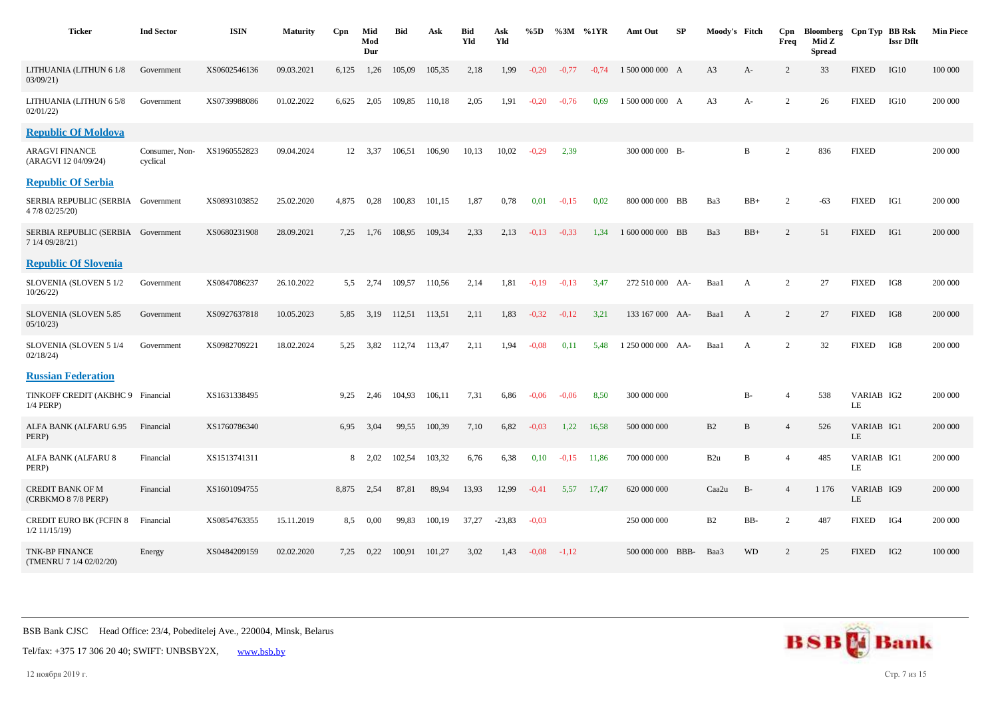| <b>Ticker</b>                                         | <b>Ind Sector</b>          | <b>ISIN</b>  | <b>Maturity</b> | Cpn   | Mid<br>Mod<br>Dur | Bid    | Ask    | Bid<br>Yld | Ask<br>Yld | %5D     | $\%3M \quad \%1YR$ |         | Amt Out          | SP  | Moody's Fitch   |              | Cpn<br>Freq    | Bloomberg Cpn Typ BB Rsk<br>Mid Z<br><b>Spread</b> |                  | <b>Issr Dflt</b> | <b>Min Piece</b> |
|-------------------------------------------------------|----------------------------|--------------|-----------------|-------|-------------------|--------|--------|------------|------------|---------|--------------------|---------|------------------|-----|-----------------|--------------|----------------|----------------------------------------------------|------------------|------------------|------------------|
| LITHUANIA (LITHUN 6 1/8<br>03/09/21                   | Government                 | XS0602546136 | 09.03.2021      | 6,125 | 1,26              | 105,09 | 105,35 | 2,18       | 1,99       | $-0.20$ | $-0,77$            | $-0,74$ | 1 500 000 000 A  |     | A <sub>3</sub>  | A-           | 2              | 33                                                 | <b>FIXED</b>     | IG10             | 100 000          |
| LITHUANIA (LITHUN 6 5/8<br>02/01/22                   | Government                 | XS0739988086 | 01.02.2022      | 6,625 | 2,05              | 109,85 | 110,18 | 2,05       | 1,91       | $-0,20$ | $-0,76$            | 0.69    | 1 500 000 000 A  |     | A <sub>3</sub>  | A-           | 2              | 26                                                 | <b>FIXED</b>     | IG10             | 200 000          |
| <b>Republic Of Moldova</b>                            |                            |              |                 |       |                   |        |        |            |            |         |                    |         |                  |     |                 |              |                |                                                    |                  |                  |                  |
| ARAGVI FINANCE<br>(ARAGVI 12 04/09/24)                | Consumer, Non-<br>cyclical | XS1960552823 | 09.04.2024      |       | 12 3,37           | 106,51 | 106,90 | 10,13      | 10,02      | $-0,29$ | 2,39               |         | 300 000 000 B-   |     |                 | B            | 2              | 836                                                | <b>FIXED</b>     |                  | 200 000          |
| <b>Republic Of Serbia</b>                             |                            |              |                 |       |                   |        |        |            |            |         |                    |         |                  |     |                 |              |                |                                                    |                  |                  |                  |
| SERBIA REPUBLIC (SERBIA Government<br>4 7/8 02/25/20) |                            | XS0893103852 | 25.02.2020      | 4,875 | 0,28              | 100,83 | 101,15 | 1,87       | 0,78       | 0,01    | $-0.15$            | 0.02    | 800 000 000 BB   |     | Ba3             | $BB+$        | $\overline{2}$ | $-63$                                              | <b>FIXED</b>     | IG1              | 200 000          |
| SERBIA REPUBLIC (SERBIA Government<br>7 1/4 09/28/21) |                            | XS0680231908 | 28.09.2021      | 7.25  | 1.76              | 108.95 | 109.34 | 2,33       | 2,13       | $-0.13$ | $-0,33$            | 1.34    | 1 600 000 000 BB |     | Ba3             | $BB+$        | 2              | 51                                                 | <b>FIXED</b>     | IG1              | 200 000          |
| <b>Republic Of Slovenia</b>                           |                            |              |                 |       |                   |        |        |            |            |         |                    |         |                  |     |                 |              |                |                                                    |                  |                  |                  |
| SLOVENIA (SLOVEN 5 1/2<br>10/26/22)                   | Government                 | XS0847086237 | 26.10.2022      | 5.5   | 2,74              | 109,57 | 110,56 | 2,14       | 1,81       | $-0,19$ | $-0,13$            | 3,47    | 272 510 000 AA-  |     | Baa1            | A            | 2              | 27                                                 | <b>FIXED</b>     | IG8              | 200 000          |
| SLOVENIA (SLOVEN 5.85<br>05/10/23                     | Government                 | XS0927637818 | 10.05.2023      | 5.85  | 3.19              | 112.51 | 113,51 | 2,11       | 1,83       | $-0,32$ | $-0.12$            | 3,21    | 133 167 000 AA-  |     | Baa1            | $\mathbf{A}$ | 2              | 27                                                 | <b>FIXED</b>     | IG8              | 200 000          |
| SLOVENIA (SLOVEN 5 1/4<br>02/18/24                    | Government                 | XS0982709221 | 18.02.2024      | 5.25  | 3,82              | 112,74 | 113,47 | 2,11       | 1,94       | $-0.08$ | 0,11               | 5.48    | 1 250 000 000    | AA- | Baa1            | $\mathbf{A}$ | 2              | 32                                                 | <b>FIXED</b>     | IG8              | 200 000          |
| <b>Russian Federation</b>                             |                            |              |                 |       |                   |        |        |            |            |         |                    |         |                  |     |                 |              |                |                                                    |                  |                  |                  |
| TINKOFF CREDIT (AKBHC 9 Financial<br>1/4 PERP)        |                            | XS1631338495 |                 | 9.25  | 2,46              | 104,93 | 106,11 | 7,31       | 6,86       | $-0.06$ | $-0.06$            | 8,50    | 300 000 000      |     |                 | <b>B-</b>    | $\overline{4}$ | 538                                                | VARIAB IG2<br>LE |                  | 200 000          |
| ALFA BANK (ALFARU 6.95<br>PERP)                       | Financial                  | XS1760786340 |                 | 6,95  | 3,04              | 99,55  | 100,39 | 7,10       | 6,82       | $-0.03$ | 1,22               | 16,58   | 500 000 000      |     | B2              | B            | $\overline{4}$ | 526                                                | VARIAB IG1<br>LE |                  | 200 000          |
| ALFA BANK (ALFARU 8<br>PERP)                          | Financial                  | XS1513741311 |                 | 8     | 2,02              | 102,54 | 103,32 | 6,76       | 6,38       | 0,10    | $-0,15$            | 11,86   | 700 000 000      |     | B <sub>2u</sub> | B            | $\overline{4}$ | 485                                                | VARIAB IG1<br>LE |                  | 200 000          |
| <b>CREDIT BANK OF M</b><br>(CRBKMO 8 7/8 PERP)        | Financial                  | XS1601094755 |                 | 8,875 | 2,54              | 87,81  | 89,94  | 13,93      | 12,99      | $-0,41$ | 5,57               | 17,47   | 620 000 000      |     | Caa2u           | <b>B-</b>    | $\overline{4}$ | 1 1 7 6                                            | VARIAB IG9<br>LE |                  | 200 000          |
| <b>CREDIT EURO BK (FCFIN 8</b><br>$1/2$ 11/15/19)     | Financial                  | XS0854763355 | 15.11.2019      | 8,5   | 0,00              | 99,83  | 100,19 | 37,27      | $-23,83$   | $-0.03$ |                    |         | 250 000 000      |     | B2              | BB-          | 2              | 487                                                | <b>FIXED</b>     | IG4              | 200 000          |
| TNK-BP FINANCE<br>(TMENRU 7 1/4 02/02/20)             | Energy                     | XS0484209159 | 02.02.2020      | 7,25  | 0,22              | 100,91 | 101,27 | 3,02       | 1,43       | $-0.08$ | $-1,12$            |         | 500 000 000 BBB- |     | Baa3            | <b>WD</b>    | 2              | 25                                                 | <b>FIXED</b>     | IG <sub>2</sub>  | 100 000          |



Tel/fax: +375 17 306 20 40; SWIFT: UNBSBY2X, [www.bsb.by](https://www.bsb.by/)

12 ноября 2019 г. Стр. 7 из 15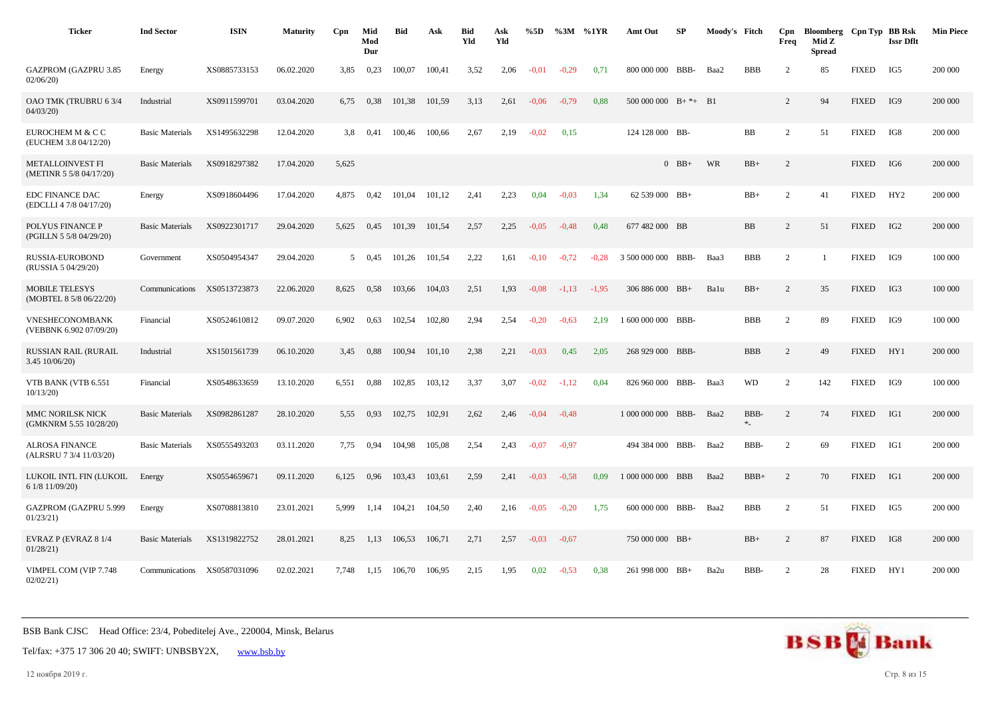| <b>Ticker</b>                                      | <b>Ind Sector</b>      | <b>ISIN</b>  | <b>Maturity</b> | Cpn   | Mid<br>Mod<br>Dur | <b>Bid</b> | Ask    | <b>Bid</b><br>Yld | Ask<br>Yld | %5D     | %3M     | %1YR    | Amt Out                     | SP      | Moody's Fitch |            | Cpn<br>Freq    | Bloomberg Cpn Typ BB Rsk<br>Mid Z<br><b>Spread</b> |              | <b>Issr Dflt</b> | <b>Min Piece</b> |
|----------------------------------------------------|------------------------|--------------|-----------------|-------|-------------------|------------|--------|-------------------|------------|---------|---------|---------|-----------------------------|---------|---------------|------------|----------------|----------------------------------------------------|--------------|------------------|------------------|
| <b>GAZPROM (GAZPRU 3.85</b><br>02/06/20            | Energy                 | XS0885733153 | 06.02.2020      | 3,85  | 0,23              | 100,07     | 100,41 | 3,52              | 2,06       | $-0.01$ | $-0,29$ | 0,71    | 800 000 000 BBB-            |         | Baa2          | <b>BBB</b> | $\overline{c}$ | 85                                                 | <b>FIXED</b> | IG5              | 200 000          |
| OAO TMK (TRUBRU 63/4<br>04/03/20                   | Industrial             | XS0911599701 | 03.04.2020      | 6,75  | 0,38              | 101,38     | 101,59 | 3,13              | 2,61       | $-0,06$ | $-0.79$ | 0.88    | $500\,000\,000$ B+ $*$ + B1 |         |               |            | $\overline{2}$ | 94                                                 | <b>FIXED</b> | IG9              | 200 000          |
| EUROCHEM M & C C<br>(EUCHEM 3.8 04/12/20)          | <b>Basic Materials</b> | XS1495632298 | 12.04.2020      | 3.8   | 0,41              | 100,46     | 100,66 | 2,67              | 2,19       | $-0.02$ | 0,15    |         | 124 128 000 BB-             |         |               | <b>BB</b>  | $\overline{2}$ | 51                                                 | <b>FIXED</b> | IG8              | 200 000          |
| <b>METALLOINVEST FI</b><br>(METINR 5 5/8 04/17/20) | <b>Basic Materials</b> | XS0918297382 | 17.04.2020      | 5,625 |                   |            |        |                   |            |         |         |         |                             | $0$ BB+ | WR            | $BB+$      | $\overline{2}$ |                                                    | <b>FIXED</b> | IG6              | 200 000          |
| <b>EDC FINANCE DAC</b><br>(EDCLLI 4 7/8 04/17/20)  | Energy                 | XS0918604496 | 17.04.2020      | 4,875 | 0,42              | 101.04     | 101.12 | 2,41              | 2,23       | 0,04    | $-0.03$ | 1,34    | 62 539 000 BB+              |         |               | $BB+$      | $\overline{2}$ | 41                                                 | <b>FIXED</b> | HY2              | 200 000          |
| POLYUS FINANCE P<br>(PGILLN 5 5/8 04/29/20)        | <b>Basic Materials</b> | XS0922301717 | 29.04.2020      | 5,625 | 0,45              | 101,39     | 101,54 | 2,57              | 2,25       | $-0.05$ | $-0,48$ | 0,48    | 677 482 000 BB              |         |               | <b>BB</b>  | $\overline{2}$ | 51                                                 | <b>FIXED</b> | IG <sub>2</sub>  | 200 000          |
| RUSSIA-EUROBOND<br>(RUSSIA 5 04/29/20)             | Government             | XS0504954347 | 29.04.2020      | 5     | 0,45              | 101,26     | 101,54 | 2,22              | 1,61       | $-0,10$ | $-0.72$ | $-0.28$ | 3 500 000 000 BBB-          |         | Baa3          | <b>BBB</b> | 2              |                                                    | <b>FIXED</b> | IG9              | 100 000          |
| <b>MOBILE TELESYS</b><br>(MOBTEL 8 5/8 06/22/20)   | Communications         | XS0513723873 | 22.06.2020      | 8,625 | 0,58              | 103,66     | 104,03 | 2,51              | 1,93       | $-0.08$ | $-1,13$ | $-1,95$ | 306 886 000 BB+             |         | Balu          | $BB+$      | $\overline{2}$ | 35                                                 | <b>FIXED</b> | IG3              | 100 000          |
| VNESHECONOMBANK<br>(VEBBNK 6.902 07/09/20)         | Financial              | XS0524610812 | 09.07.2020      | 6,902 | 0,63              | 102,54     | 102,80 | 2,94              | 2,54       | $-0,20$ | $-0,63$ | 2,19    | 1 600 000 000 BBB-          |         |               | <b>BBB</b> | 2              | 89                                                 | <b>FIXED</b> | IG9              | 100 000          |
| <b>RUSSIAN RAIL (RURAIL</b><br>3.45 10/06/20)      | Industrial             | XS1501561739 | 06.10.2020      | 3,45  | 0.88              | 100,94     | 101,10 | 2,38              | 2,21       | $-0.03$ | 0,45    | 2,05    | 268 929 000 BBB-            |         |               | <b>BBB</b> | $\overline{2}$ | 49                                                 | <b>FIXED</b> | HY1              | 200 000          |
| VTB BANK (VTB 6.551<br>10/13/20                    | Financial              | XS0548633659 | 13.10.2020      | 6,551 | 0.88              | 102,85     | 103,12 | 3,37              | 3,07       | $-0.02$ | $-1,12$ | 0,04    | 826 960 000 BBB-            |         | Baa3          | <b>WD</b>  | 2              | 142                                                | <b>FIXED</b> | IG9              | 100 000          |
| MMC NORILSK NICK<br>(GMKNRM 5.55 10/28/20)         | <b>Basic Materials</b> | XS0982861287 | 28.10.2020      | 5,55  | 0.93              | 102,75     | 102,91 | 2,62              | 2,46       | $-0,04$ | $-0,48$ |         | 1 000 000 000               | BBB-    | Baa2          | BBB-<br>*  | 2              | 74                                                 | <b>FIXED</b> | IG1              | 200 000          |
| <b>ALROSA FINANCE</b><br>(ALRSRU 7 3/4 11/03/20)   | <b>Basic Materials</b> | XS0555493203 | 03.11.2020      | 7.75  | 0,94              | 104,98     | 105,08 | 2,54              | 2,43       | $-0.07$ | $-0.97$ |         | 494 384 000                 | BBB-    | Baa2          | BBB-       | $\overline{2}$ | 69                                                 | <b>FIXED</b> | IG1              | 200 000          |
| LUKOIL INTL FIN (LUKOIL<br>6 1/8 11/09/20)         | Energy                 | XS0554659671 | 09.11.2020      | 6,125 | 0,96              | 103,43     | 103,61 | 2,59              | 2,41       | $-0,03$ | $-0.58$ | 0,09    | 1 000 000 000 BBB           |         | Baa2          | $BBB+$     | 2              | 70                                                 | <b>FIXED</b> | IG1              | 200 000          |
| GAZPROM (GAZPRU 5.999<br>01/23/21                  | Energy                 | XS0708813810 | 23.01.2021      | 5,999 | 1,14              | 104,21     | 104,50 | 2,40              | 2,16       | $-0.05$ | $-0,20$ | 1,75    | 600 000 000 BBB-            |         | Baa2          | <b>BBB</b> | 2              | 51                                                 | <b>FIXED</b> | IG5              | 200 000          |
| EVRAZ P (EVRAZ 8 1/4<br>01/28/21                   | <b>Basic Materials</b> | XS1319822752 | 28.01.2021      | 8,25  | 1,13              | 106,53     | 106,71 | 2,71              | 2,57       | $-0.03$ | $-0,67$ |         | 750 000 000 BB+             |         |               | $BB+$      | $\overline{2}$ | 87                                                 | <b>FIXED</b> | IG8              | 200 000          |
| VIMPEL COM (VIP 7.748<br>02/02/21                  | Communications         | XS0587031096 | 02.02.2021      | 7.748 | 1,15              | 106.70     | 106,95 | 2,15              | 1.95       | 0.02    | $-0.53$ | 0.38    | 261 998 000 BB+             |         | Ba2u          | BBB-       | 2              | 28                                                 | <b>FIXED</b> | HY1              | 200 000          |

Tel/fax: +375 17 306 20 40; SWIFT: UNBSBY2X, [www.bsb.by](https://www.bsb.by/)

12 ноября 2019 г. Стр. 8 из 15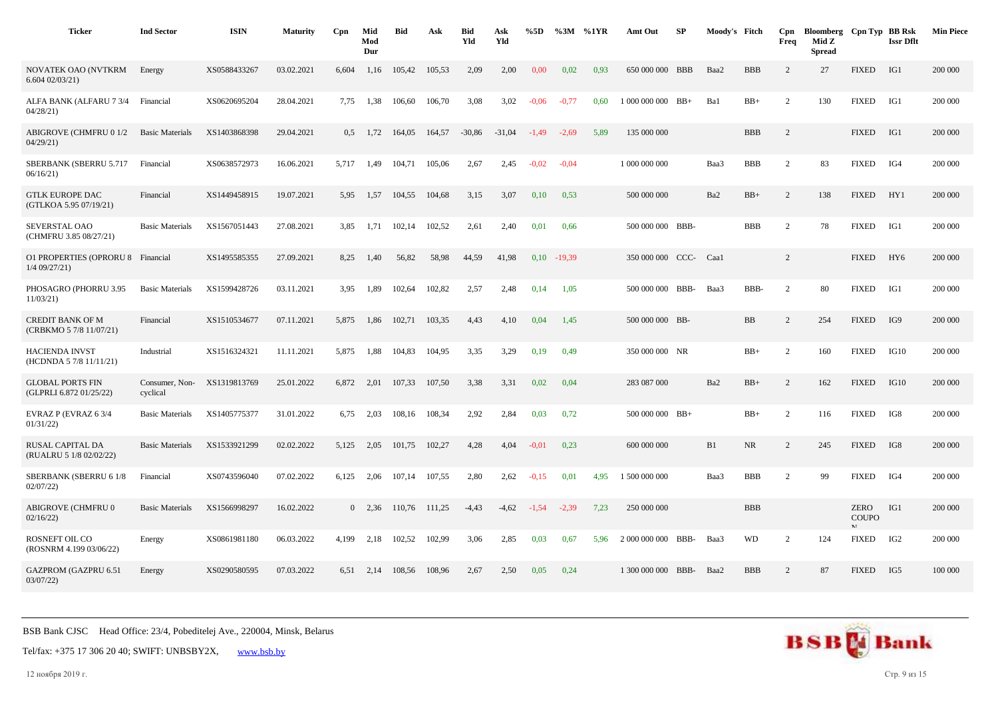| <b>Ticker</b>                                        | <b>Ind Sector</b>          | <b>ISIN</b>  | <b>Maturity</b> | Cpn           | Mid<br>Mod<br>Dur | <b>Bid</b> | Ask    | <b>Bid</b><br>Yld | Ask<br>Yld | %5D     | $\%3M$   | %1YR | Amt Out               | SP | Moody's Fitch |            | Cpn<br>Freq    | Bloomberg Cpn Typ BB Rsk<br>Mid Z<br><b>Spread</b> |                             | <b>Issr Dflt</b> | <b>Min Piece</b> |
|------------------------------------------------------|----------------------------|--------------|-----------------|---------------|-------------------|------------|--------|-------------------|------------|---------|----------|------|-----------------------|----|---------------|------------|----------------|----------------------------------------------------|-----------------------------|------------------|------------------|
| NOVATEK OAO (NVTKRM<br>6.60402/03/21                 | Energy                     | XS0588433267 | 03.02.2021      | 6,604         | 1,16              | 105,42     | 105,53 | 2,09              | 2,00       | 0.00    | 0,02     | 0,93 | 650 000 000 BBB       |    | Baa2          | <b>BBB</b> | 2              | 27                                                 | <b>FIXED</b>                | IG1              | 200 000          |
| ALFA BANK (ALFARU 7 3/4<br>04/28/21                  | Financial                  | XS0620695204 | 28.04.2021      | 7.75          | 1,38              | 106,60     | 106,70 | 3,08              | 3,02       | $-0,06$ | $-0.77$  | 0.60 | $1000000000$ BB+      |    | Ba1           | $BB+$      | 2              | 130                                                | <b>FIXED</b>                | IG1              | 200 000          |
| <b>ABIGROVE (CHMFRU 0 1/2</b><br>04/29/21            | <b>Basic Materials</b>     | XS1403868398 | 29.04.2021      | $0.5^{\circ}$ | 1,72              | 164,05     | 164,57 | $-30,86$          | $-31,04$   | $-1,49$ | $-2,69$  | 5.89 | 135 000 000           |    |               | <b>BBB</b> | 2              |                                                    | <b>FIXED</b>                | IG1              | 200 000          |
| SBERBANK (SBERRU 5.717<br>06/16/21                   | Financial                  | XS0638572973 | 16.06.2021      | 5,717         | 1,49              | 104,71     | 105,06 | 2,67              | 2,45       | $-0.02$ | $-0.04$  |      | 1 000 000 000         |    | Baa3          | <b>BBB</b> | $\overline{2}$ | 83                                                 | <b>FIXED</b>                | IG4              | 200 000          |
| <b>GTLK EUROPE DAC</b><br>(GTLKOA 5.95 07/19/21)     | Financial                  | XS1449458915 | 19.07.2021      | 5,95          | 1,57              | 104,55     | 104,68 | 3,15              | 3,07       | 0,10    | 0.53     |      | 500 000 000           |    | Ba2           | $BB+$      | $\overline{2}$ | 138                                                | <b>FIXED</b>                | HY1              | 200 000          |
| SEVERSTAL OAO<br>(CHMFRU 3.85 08/27/21)              | <b>Basic Materials</b>     | XS1567051443 | 27.08.2021      | 3,85          | 1,71              | 102,14     | 102,52 | 2,61              | 2,40       | 0,01    | 0,66     |      | 500 000 000 BBB-      |    |               | <b>BBB</b> | 2              | 78                                                 | <b>FIXED</b>                | IG1              | 200 000          |
| O1 PROPERTIES (OPRORU 8 Financial<br>$1/4$ 09/27/21) |                            | XS1495585355 | 27.09.2021      | 8,25          | 1,40              | 56,82      | 58,98  | 44.59             | 41,98      | 0,10    | $-19,39$ |      | 350 000 000 CCC- Caa1 |    |               |            | 2              |                                                    | <b>FIXED</b>                | HY <sub>6</sub>  | 200 000          |
| PHOSAGRO (PHORRU 3.95<br>11/03/21                    | <b>Basic Materials</b>     | XS1599428726 | 03.11.2021      | 3.95          | 1,89              | 102,64     | 102,82 | 2,57              | 2,48       | 0,14    | 1,05     |      | 500 000 000 BBB-      |    | Baa3          | BBB-       | $\overline{2}$ | 80                                                 | <b>FIXED</b>                | IG1              | 200 000          |
| <b>CREDIT BANK OF M</b><br>(CRBKMO 5 7/8 11/07/21)   | Financial                  | XS1510534677 | 07.11.2021      | 5,875         | 1,86              | 102,71     | 103,35 | 4,43              | 4,10       | 0,04    | 1,45     |      | 500 000 000 BB-       |    |               | BB         | $\overline{c}$ | 254                                                | <b>FIXED</b>                | IG9              | 200 000          |
| <b>HACIENDA INVST</b><br>(HCDNDA 5 7/8 11/11/21)     | Industrial                 | XS1516324321 | 11.11.2021      | 5,875         | 1,88              | 104,83     | 104,95 | 3,35              | 3,29       | 0,19    | 0,49     |      | 350 000 000 NR        |    |               | $BB+$      | $\overline{2}$ | 160                                                | <b>FIXED</b>                | IG10             | 200 000          |
| <b>GLOBAL PORTS FIN</b><br>(GLPRLI 6.872 01/25/22)   | Consumer, Non-<br>cyclical | XS1319813769 | 25.01.2022      | 6,872         | 2,01              | 107,33     | 107,50 | 3,38              | 3,31       | 0,02    | 0,04     |      | 283 087 000           |    | Ba2           | $BB+$      | $\overline{2}$ | 162                                                | <b>FIXED</b>                | IG10             | 200 000          |
| EVRAZ P (EVRAZ 6 3/4<br>01/31/22                     | <b>Basic Materials</b>     | XS1405775377 | 31.01.2022      | 6,75          | 2,03              | 108,16     | 108,34 | 2,92              | 2,84       | 0,03    | 0,72     |      | 500 000 000 BB+       |    |               | $BB+$      | $\mathbf{2}$   | 116                                                | <b>FIXED</b>                | IG8              | 200 000          |
| RUSAL CAPITAL DA<br>(RUALRU 5 1/8 02/02/22)          | <b>Basic Materials</b>     | XS1533921299 | 02.02.2022      | 5,125         | 2,05              | 101,75     | 102,27 | 4,28              | 4,04       | $-0.01$ | 0,23     |      | 600 000 000           |    | B1            | <b>NR</b>  | $\overline{2}$ | 245                                                | <b>FIXED</b>                | IG8              | 200 000          |
| SBERBANK (SBERRU 6 1/8<br>02/07/22                   | Financial                  | XS0743596040 | 07.02.2022      | 6,125         | 2,06              | 107,14     | 107,55 | 2,80              | 2,62       | $-0,15$ | 0,01     | 4,95 | 1 500 000 000         |    | Baa3          | <b>BBB</b> | 2              | 99                                                 | <b>FIXED</b>                | IG4              | 200 000          |
| ABIGROVE (CHMFRU 0<br>02/16/22                       | <b>Basic Materials</b>     | XS1566998297 | 16.02.2022      |               | $0 \quad 2.36$    | 110,76     | 111,25 | $-4,43$           | $-4,62$    | $-1,54$ | $-2,39$  | 7,23 | 250 000 000           |    |               | <b>BBB</b> |                |                                                    | <b>ZERO</b><br><b>COUPO</b> | IG1              | 200 000          |
| <b>ROSNEFT OIL CO</b><br>(ROSNRM 4.199 03/06/22)     | Energy                     | XS0861981180 | 06.03.2022      | 4,199         | 2,18              | 102,52     | 102,99 | 3,06              | 2,85       | 0,03    | 0,67     | 5,96 | 2 000 000 000 BBB-    |    | Baa3          | <b>WD</b>  | $\overline{2}$ | 124                                                | <b>FIXED</b>                | IG <sub>2</sub>  | 200 000          |
| <b>GAZPROM (GAZPRU 6.51</b><br>03/07/22              | Energy                     | XS0290580595 | 07.03.2022      | 6.51          | 2.14              | 108.56     | 108.96 | 2.67              | 2,50       | 0.05    | 0.24     |      | 1 300 000 000 BBB-    |    | Baa2          | <b>BBB</b> | 2              | 87                                                 | <b>FIXED</b>                | IG5              | 100 000          |

12 ноября 2019 г. Стр. 9 из 15

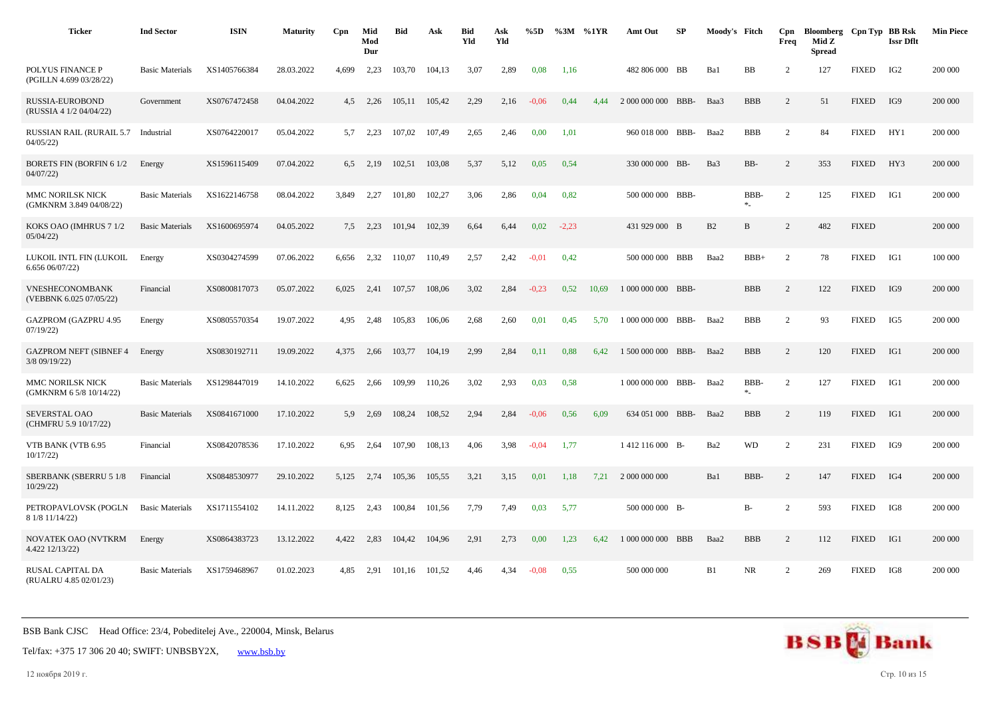| <b>Ticker</b>                                  | <b>Ind Sector</b>      | <b>ISIN</b>  | <b>Maturity</b> | Cpn   | Mid<br>Mod<br>Dur | <b>Bid</b> | Ask    | <b>Bid</b><br>Yld | Ask<br>Yld | %5D     | %3M     | %1YR  | Amt Out            | SP   | Moody's Fitch |                  | Cpn<br>Freq    | Bloomberg Cpn Typ BB Rsk<br>Mid Z<br><b>Spread</b> |              | <b>Issr Dflt</b> | <b>Min Piece</b> |
|------------------------------------------------|------------------------|--------------|-----------------|-------|-------------------|------------|--------|-------------------|------------|---------|---------|-------|--------------------|------|---------------|------------------|----------------|----------------------------------------------------|--------------|------------------|------------------|
| POLYUS FINANCE P<br>(PGILLN 4.699 03/28/22)    | <b>Basic Materials</b> | XS1405766384 | 28.03.2022      | 4.699 | 2,23              | 103,70     | 104,13 | 3,07              | 2,89       | 0,08    | 1,16    |       | 482 806 000 BB     |      | Ba1           | BB               | $\overline{2}$ | 127                                                | <b>FIXED</b> | IG <sub>2</sub>  | 200 000          |
| RUSSIA-EUROBOND<br>(RUSSIA 4 1/2 04/04/22)     | Government             | XS0767472458 | 04.04.2022      | 4,5   | 2,26              | 105,11     | 105,42 | 2,29              | 2,16       | $-0.06$ | 0,44    | 4,44  | 2 000 000 000 BBB- |      | Baa3          | <b>BBB</b>       | 2              | 51                                                 | <b>FIXED</b> | IG9              | 200 000          |
| <b>RUSSIAN RAIL (RURAIL 5.7</b><br>04/05/22    | Industrial             | XS0764220017 | 05.04.2022      | 5.7   | 2.23              | 107.02     | 107,49 | 2,65              | 2,46       | 0,00    | 1,01    |       | 960 018 000 BBB-   |      | Baa2          | <b>BBB</b>       | $\overline{2}$ | 84                                                 | <b>FIXED</b> | HY1              | 200 000          |
| <b>BORETS FIN (BORFIN 61/2)</b><br>04/07/22    | Energy                 | XS1596115409 | 07.04.2022      | 6,5   | 2,19              | 102,51     | 103,08 | 5,37              | 5,12       | 0,05    | 0,54    |       | 330 000 000 BB-    |      | Ba3           | BB-              | $\overline{2}$ | 353                                                | <b>FIXED</b> | HY3              | 200 000          |
| MMC NORILSK NICK<br>(GMKNRM 3.849 04/08/22)    | <b>Basic Materials</b> | XS1622146758 | 08.04.2022      | 3,849 | 2,27              | 101,80     | 102,27 | 3,06              | 2,86       | 0,04    | 0,82    |       | 500 000 000 BBB-   |      |               | BBB-<br>$\ast_-$ | $\overline{2}$ | 125                                                | <b>FIXED</b> | IG1              | 200 000          |
| KOKS OAO (IMHRUS 7 1/2<br>05/04/22             | <b>Basic Materials</b> | XS1600695974 | 04.05.2022      | 7.5   | 2,23              | 101.94     | 102.39 | 6.64              | 6,44       | 0,02    | $-2.23$ |       | 431 929 000 B      |      | B2            | $\mathbf B$      | $\overline{2}$ | 482                                                | <b>FIXED</b> |                  | 200 000          |
| LUKOIL INTL FIN (LUKOIL<br>6.656 06/07/22)     | Energy                 | XS0304274599 | 07.06.2022      | 6,656 | 2,32              | 110,07     | 110,49 | 2,57              | 2,42       | $-0.01$ | 0,42    |       | 500 000 000 BBB    |      | Baa2          | $BBB+$           | 2              | 78                                                 | <b>FIXED</b> | IG1              | 100 000          |
| VNESHECONOMBANK<br>(VEBBNK 6.025 07/05/22)     | Financial              | XS0800817073 | 05.07.2022      | 6,025 | 2,41              | 107,57     | 108,06 | 3,02              | 2,84       | $-0.23$ | 0.52    | 10.69 | 1 000 000 000 BBB- |      |               | <b>BBB</b>       | $\overline{c}$ | 122                                                | <b>FIXED</b> | IG9              | 200 000          |
| <b>GAZPROM (GAZPRU 4.95</b><br>07/19/22        | Energy                 | XS0805570354 | 19.07.2022      | 4.95  | 2,48              | 105,83     | 106,06 | 2,68              | 2,60       | 0,01    | 0,45    | 5.70  | 1 000 000 000 BBB- |      | Baa2          | <b>BBB</b>       | $\overline{c}$ | 93                                                 | <b>FIXED</b> | IG5              | 200 000          |
| <b>GAZPROM NEFT (SIBNEF 4</b><br>3/8 09/19/22) | Energy                 | XS0830192711 | 19.09.2022      | 4,375 | 2,66              | 103,77     | 104,19 | 2,99              | 2,84       | 0,11    | 0.88    | 6,42  | 1 500 000 000 BBB- |      | Baa2          | <b>BBB</b>       | $\overline{2}$ | 120                                                | <b>FIXED</b> | IG1              | 200 000          |
| MMC NORILSK NICK<br>(GMKNRM 6 5/8 10/14/22)    | <b>Basic Materials</b> | XS1298447019 | 14.10.2022      | 6,625 | 2,66              | 109.99     | 110.26 | 3,02              | 2,93       | 0,03    | 0.58    |       | 1 000 000 000 BBB- |      | Baa2          | BBB-<br>$\ast_-$ | 2              | 127                                                | <b>FIXED</b> | IG1              | 200 000          |
| SEVERSTAL OAO<br>(CHMFRU 5.9 10/17/22)         | <b>Basic Materials</b> | XS0841671000 | 17.10.2022      | 5.9   | 2.69              | 108,24     | 108,52 | 2,94              | 2,84       | $-0.06$ | 0.56    | 6,09  | 634 051 000        | BBB- | Baa2          | <b>BBB</b>       | $\overline{2}$ | 119                                                | <b>FIXED</b> | IG1              | 200 000          |
| VTB BANK (VTB 6.95<br>10/17/22                 | Financial              | XS0842078536 | 17.10.2022      | 6,95  | 2,64              | 107,90     | 108,13 | 4,06              | 3,98       | $-0.04$ | 1,77    |       | 1412 116 000 B-    |      | Ba2           | <b>WD</b>        | 2              | 231                                                | <b>FIXED</b> | IG9              | 200 000          |
| SBERBANK (SBERRU 5 1/8<br>10/29/22             | Financial              | XS0848530977 | 29.10.2022      | 5,125 | 2,74              | 105,36     | 105,55 | 3,21              | 3,15       | 0,01    | 1,18    | 7,21  | 2 000 000 000      |      | Ba1           | BBB-             | $\overline{c}$ | 147                                                | <b>FIXED</b> | IG4              | 200 000          |
| PETROPAVLOVSK (POGLN<br>8 1/8 11/14/22)        | <b>Basic Materials</b> | XS1711554102 | 14.11.2022      | 8,125 | 2,43              | 100,84     | 101,56 | 7,79              | 7,49       | 0,03    | 5,77    |       | 500 000 000 B-     |      |               | $B-$             | $\overline{c}$ | 593                                                | <b>FIXED</b> | IG8              | 200 000          |
| <b>NOVATEK OAO (NVTKRM</b><br>4.422 12/13/22)  | Energy                 | XS0864383723 | 13.12.2022      | 4.422 | 2,83              | 104.42     | 104,96 | 2,91              | 2,73       | 0,00    | 1.23    | 6.42  | 1 000 000 000 BBB  |      | Baa2          | <b>BBB</b>       | 2              | 112                                                | <b>FIXED</b> | IG1              | 200 000          |
| RUSAL CAPITAL DA<br>(RUALRU 4.85 02/01/23)     | <b>Basic Materials</b> | XS1759468967 | 01.02.2023      | 4.85  | 2,91              | 101,16     | 101,52 | 4,46              | 4,34       | $-0.08$ | 0.55    |       | 500 000 000        |      | B1            | NR               | $\overline{2}$ | 269                                                | <b>FIXED</b> | IG8              | 200 000          |

Tel/fax: +375 17 306 20 40; SWIFT: UNBSBY2X, [www.bsb.by](https://www.bsb.by/)

12 ноября 2019 г. Стр. 10 из 15

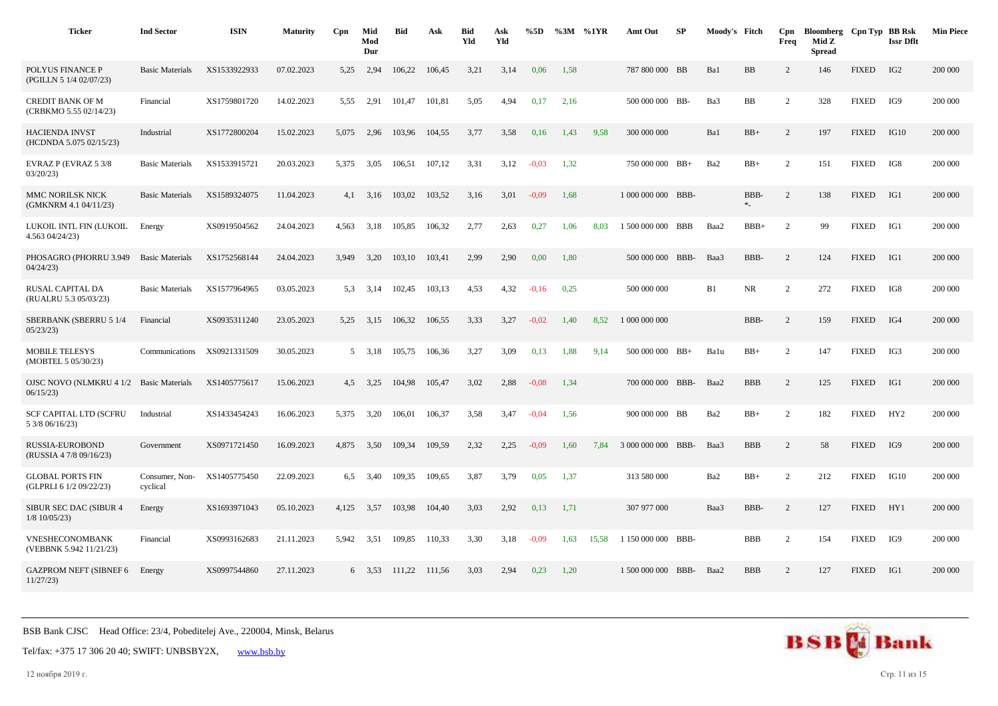| <b>Ticker</b>                                      | <b>Ind Sector</b>          | <b>ISIN</b>  | <b>Maturity</b> | Cpn   | Mid<br>Mod<br>Dur | <b>Bid</b> | Ask    | <b>Bid</b><br>Yld | Ask<br>Yld | %5D     |      | %3M %1YR | Amt Out            | SP         | Moody's Fitch |                  | Cpn<br>Freq    | Bloomberg Cpn Typ BB Rsk<br>Mid Z<br><b>Spread</b> |              | <b>Issr Dflt</b> | <b>Min Piece</b> |
|----------------------------------------------------|----------------------------|--------------|-----------------|-------|-------------------|------------|--------|-------------------|------------|---------|------|----------|--------------------|------------|---------------|------------------|----------------|----------------------------------------------------|--------------|------------------|------------------|
| POLYUS FINANCE P<br>(PGILLN 5 1/4 02/07/23)        | <b>Basic Materials</b>     | XS1533922933 | 07.02.2023      | 5,25  | 2,94              | 106,22     | 106,45 | 3,21              | 3,14       | 0,06    | 1,58 |          | 787 800 000 BB     |            | Ba1           | BB               | 2              | 146                                                | <b>FIXED</b> | IG <sub>2</sub>  | 200 000          |
| <b>CREDIT BANK OF M</b><br>(CRBKMO 5.55 02/14/23)  | Financial                  | XS1759801720 | 14.02.2023      | 5.55  | 2,91              | 101.47     | 101,81 | 5,05              | 4,94       | 0,17    | 2,16 |          | 500 000 000 BB-    |            | Ba3           | BB               | 2              | 328                                                | <b>FIXED</b> | IG9              | 200 000          |
| <b>HACIENDA INVST</b><br>(HCDNDA 5.075 02/15/23)   | Industrial                 | XS1772800204 | 15.02.2023      | 5,075 | 2,96              | 103,96     | 104,55 | 3,77              | 3,58       | 0,16    | 1,43 | 9,58     | 300 000 000        |            | Ba1           | $BB+$            | 2              | 197                                                | <b>FIXED</b> | IG10             | 200 000          |
| EVRAZ P (EVRAZ 5 3/8<br>03/20/23                   | <b>Basic Materials</b>     | XS1533915721 | 20.03.2023      | 5,375 | 3,05              | 106,51     | 107,12 | 3,31              | 3,12       | $-0.03$ | 1,32 |          | 750 000 000 BB+    |            | Ba2           | $BB+$            | $\overline{c}$ | 151                                                | <b>FIXED</b> | IG8              | 200 000          |
| MMC NORILSK NICK<br>(GMKNRM 4.1 04/11/23)          | <b>Basic Materials</b>     | XS1589324075 | 11.04.2023      | 4,1   | 3,16              | 103.02     | 103,52 | 3,16              | 3,01       | $-0.09$ | 1,68 |          | 1 000 000 000 BBB- |            |               | BBB-<br>$\ast_-$ | 2              | 138                                                | <b>FIXED</b> | IG1              | 200 000          |
| LUKOIL INTL FIN (LUKOIL<br>4.563 04/24/23)         | Energy                     | XS0919504562 | 24.04.2023      | 4,563 | 3,18              | 105,85     | 106,32 | 2,77              | 2,63       | 0,27    | 1,06 | 8,03     | 1 500 000 000      | <b>BBB</b> | Baa2          | $BBB+$           | 2              | 99                                                 | <b>FIXED</b> | IG1              | 200 000          |
| PHOSAGRO (PHORRU 3.949<br>04/24/23                 | <b>Basic Materials</b>     | XS1752568144 | 24.04.2023      | 3.949 | 3,20              | 103,10     | 103,41 | 2,99              | 2,90       | 0,00    | 1,80 |          | 500 000 000 BBB-   |            | Baa3          | BBB-             | 2              | 124                                                | <b>FIXED</b> | IG1              | 200 000          |
| RUSAL CAPITAL DA<br>(RUALRU 5.3 05/03/23)          | <b>Basic Materials</b>     | XS1577964965 | 03.05.2023      | 5.3   | 3,14              | 102,45     | 103,13 | 4,53              | 4,32       | $-0,16$ | 0,25 |          | 500 000 000        |            | B1            | <b>NR</b>        | 2              | 272                                                | <b>FIXED</b> | IG8              | 200 000          |
| SBERBANK (SBERRU 5 1/4<br>05/23/23                 | Financial                  | XS0935311240 | 23.05.2023      | 5,25  | 3,15              | 106,32     | 106,55 | 3.33              | 3,27       | $-0.02$ | 1,40 | 8,52     | 1 000 000 000      |            |               | BBB-             | 2              | 159                                                | <b>FIXED</b> | IG4              | 200 000          |
| <b>MOBILE TELESYS</b><br>(MOBTEL 5 05/30/23)       | Communications             | XS0921331509 | 30.05.2023      |       | 5 3,18            | 105,75     | 106,36 | 3,27              | 3,09       | 0,13    | 1,88 | 9,14     | 500 000 000 BB+    |            | Balu          | $BB+$            | $\overline{c}$ | 147                                                | <b>FIXED</b> | IG3              | 200 000          |
| <b>OJSC NOVO (NLMKRU 4 1/2</b><br>06/15/23         | <b>Basic Materials</b>     | XS1405775617 | 15.06.2023      | 4.5   | 3,25              | 104,98     | 105,47 | 3,02              | 2,88       | $-0.08$ | 1,34 |          | 700 000 000 BBB-   |            | Baa2          | <b>BBB</b>       | 2              | 125                                                | <b>FIXED</b> | IG1              | 200 000          |
| SCF CAPITAL LTD (SCFRU<br>5 3/8 06/16/23)          | Industrial                 | XS1433454243 | 16.06.2023      | 5,375 | 3,20              | 106,01     | 106,37 | 3,58              | 3,47       | $-0.04$ | 1,56 |          | 900 000 000        | BB         | Ba2           | $BB+$            | 2              | 182                                                | <b>FIXED</b> | HY <sub>2</sub>  | 200 000          |
| RUSSIA-EUROBOND<br>(RUSSIA 4 7/8 09/16/23)         | Government                 | XS0971721450 | 16.09.2023      | 4,875 | 3,50              | 109,34     | 109,59 | 2,32              | 2,25       | $-0.09$ | 1,60 | 7.84     | 3 000 000 000 BBB- |            | Baa3          | <b>BBB</b>       | 2              | 58                                                 | <b>FIXED</b> | IG9              | 200 000          |
| <b>GLOBAL PORTS FIN</b><br>(GLPRLI 6 1/2 09/22/23) | Consumer, Non-<br>cyclical | XS1405775450 | 22.09.2023      | 6,5   | 3,40              | 109,35     | 109,65 | 3,87              | 3,79       | 0,05    | 1,37 |          | 313 580 000        |            | Ba2           | $BB+$            | 2              | 212                                                | <b>FIXED</b> | IG10             | 200 000          |
| SIBUR SEC DAC (SIBUR 4<br>$1/8$ 10/05/23)          | Energy                     | XS1693971043 | 05.10.2023      | 4,125 | 3,57              | 103,98     | 104,40 | 3,03              | 2,92       | 0,13    | 1,71 |          | 307 977 000        |            | Baa3          | BBB-             | 2              | 127                                                | <b>FIXED</b> | HY1              | 200 000          |
| <b>VNESHECONOMBANK</b><br>(VEBBNK 5.942 11/21/23)  | Financial                  | XS0993162683 | 21.11.2023      | 5,942 | 3,51              | 109,85     | 110,33 | 3,30              | 3,18       | $-0.09$ | 1,63 | 15,58    | 1 150 000 000 BBB- |            |               | <b>BBB</b>       | $\overline{2}$ | 154                                                | <b>FIXED</b> | IG9              | 200 000          |
| <b>GAZPROM NEFT (SIBNEF 6</b><br>11/27/23          | Energy                     | XS0997544860 | 27.11.2023      |       | $6\quad 3.53$     | 111,22     | 111,56 | 3.03              | 2.94       | 0.23    | 1.20 |          | 1 500 000 000 BBB- |            | Baa2          | <b>BBB</b>       | 2              | 127                                                | <b>FIXED</b> | IG1              | 200 000          |



12 ноября 2019 г. Стр. 11 из 15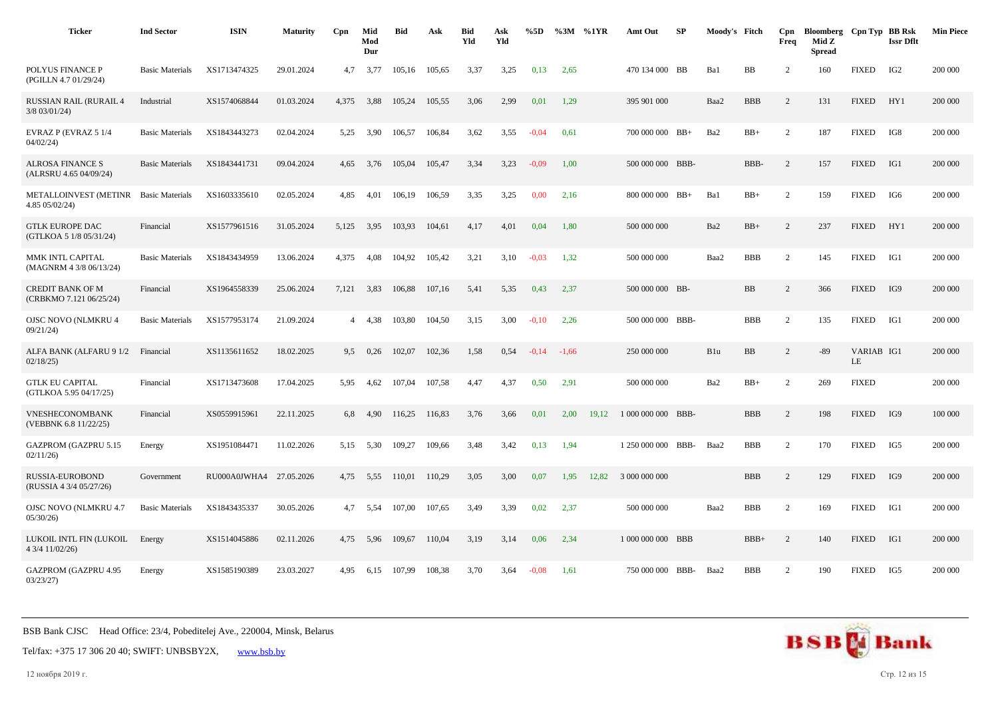| <b>Ticker</b>                                      | <b>Ind Sector</b>      | <b>ISIN</b>             | <b>Maturity</b> | Cpn   | Mid<br>Mod<br>Dur | <b>Bid</b> | Ask    | <b>Bid</b><br>Yld | Ask<br>Yld | %5D     | %3M %1YR |       | Amt Out            | SP | Moody's Fitch |            | Cpn<br>Freq    | Bloomberg Cpn Typ BB Rsk<br>Mid Z<br><b>Spread</b> |                  | <b>Issr Dflt</b> | <b>Min Piece</b> |
|----------------------------------------------------|------------------------|-------------------------|-----------------|-------|-------------------|------------|--------|-------------------|------------|---------|----------|-------|--------------------|----|---------------|------------|----------------|----------------------------------------------------|------------------|------------------|------------------|
| POLYUS FINANCE P<br>(PGILLN 4.7 01/29/24)          | <b>Basic Materials</b> | XS1713474325            | 29.01.2024      | 4,7   | 3,77              | 105,16     | 105,65 | 3,37              | 3,25       | 0,13    | 2,65     |       | 470 134 000 BB     |    | Ba1           | BB         | 2              | 160                                                | <b>FIXED</b>     | IG <sub>2</sub>  | 200 000          |
| <b>RUSSIAN RAIL (RURAIL 4</b><br>$3/8$ 03/01/24)   | Industrial             | XS1574068844            | 01.03.2024      | 4,375 | 3,88              | 105,24     | 105,55 | 3,06              | 2,99       | 0,01    | 1,29     |       | 395 901 000        |    | Baa2          | <b>BBB</b> | 2              | 131                                                | <b>FIXED</b>     | HY1              | 200 000          |
| EVRAZ P (EVRAZ 5 1/4<br>04/02/24                   | <b>Basic Materials</b> | XS1843443273            | 02.04.2024      | 5,25  | 3,90              | 106,57     | 106,84 | 3,62              | 3,55       | $-0.04$ | 0,61     |       | 700 000 000 BB+    |    | Ba2           | $BB+$      | $\overline{2}$ | 187                                                | <b>FIXED</b>     | IG8              | 200 000          |
| <b>ALROSA FINANCE S</b><br>(ALRSRU 4.65 04/09/24)  | <b>Basic Materials</b> | XS1843441731            | 09.04.2024      | 4,65  | 3,76              | 105,04     | 105,47 | 3,34              | 3,23       | $-0.09$ | 1,00     |       | 500 000 000 BBB-   |    |               | BBB-       | $\overline{c}$ | 157                                                | <b>FIXED</b>     | IG1              | 200 000          |
| METALLOINVEST (METINR<br>4.85 05/02/24)            | <b>Basic Materials</b> | XS1603335610            | 02.05.2024      | 4,85  | 4,01              | 106,19     | 106,59 | 3,35              | 3,25       | 0,00    | 2,16     |       | 800 000 000 BB+    |    | Ba1           | $BB+$      | $\overline{2}$ | 159                                                | <b>FIXED</b>     | IG6              | 200 000          |
| <b>GTLK EUROPE DAC</b><br>(GTLKOA 5 1/8 05/31/24)  | Financial              | XS1577961516            | 31.05.2024      | 5.125 | 3,95              | 103,93     | 104.61 | 4.17              | 4,01       | 0,04    | 1,80     |       | 500 000 000        |    | Ba2           | $BB+$      | $\overline{c}$ | 237                                                | <b>FIXED</b>     | HY1              | 200 000          |
| MMK INTL CAPITAL<br>(MAGNRM 4 3/8 06/13/24)        | <b>Basic Materials</b> | XS1843434959            | 13.06.2024      | 4,375 | 4,08              | 104,92     | 105,42 | 3,21              | 3,10       | $-0.03$ | 1,32     |       | 500 000 000        |    | Baa2          | <b>BBB</b> | $\overline{2}$ | 145                                                | <b>FIXED</b>     | IG1              | 200 000          |
| <b>CREDIT BANK OF M</b><br>(CRBKMO 7.121 06/25/24) | Financial              | XS1964558339            | 25.06.2024      | 7,121 | 3,83              | 106,88     | 107,16 | 5,41              | 5,35       | 0,43    | 2,37     |       | 500 000 000 BB-    |    |               | BB         | $\overline{2}$ | 366                                                | <b>FIXED</b>     | IG9              | 200 000          |
| <b>OJSC NOVO (NLMKRU 4</b><br>09/21/24             | <b>Basic Materials</b> | XS1577953174            | 21.09.2024      |       | 4,38              | 103,80     | 104,50 | 3,15              | 3,00       | $-0,10$ | 2,26     |       | 500 000 000 BBB-   |    |               | <b>BBB</b> | $\overline{2}$ | 135                                                | <b>FIXED</b>     | IG1              | 200 000          |
| ALFA BANK (ALFARU 9 1/2<br>02/18/25                | Financial              | XS1135611652            | 18.02.2025      | 9,5   | 0,26              | 102,07     | 102,36 | 1,58              | 0,54       | $-0.14$ | $-1,66$  |       | 250 000 000        |    | B1u           | BB         | 2              | $-89$                                              | VARIAB IG1<br>LE |                  | 200 000          |
| <b>GTLK EU CAPITAL</b><br>(GTLKOA 5.95 04/17/25)   | Financial              | XS1713473608            | 17.04.2025      | 5.95  | 4.62              | 107.04     | 107,58 | 4.47              | 4,37       | 0,50    | 2,91     |       | 500 000 000        |    | Ba2           | $BB+$      | 2              | 269                                                | <b>FIXED</b>     |                  | 200 000          |
| VNESHECONOMBANK<br>(VEBBNK 6.8 11/22/25)           | Financial              | XS0559915961            | 22.11.2025      | 6,8   | 4,90              | 116,25     | 116,83 | 3,76              | 3,66       | 0,01    | 2,00     | 19,12 | 1 000 000 000 BBB- |    |               | <b>BBB</b> | $\overline{c}$ | 198                                                | <b>FIXED</b>     | IG9              | 100 000          |
| <b>GAZPROM (GAZPRU 5.15</b><br>02/11/26            | Energy                 | XS1951084471            | 11.02.2026      | 5,15  | 5,30              | 109,27     | 109,66 | 3,48              | 3,42       | 0,13    | 1,94     |       | 1 250 000 000 BBB- |    | Baa2          | <b>BBB</b> | 2              | 170                                                | <b>FIXED</b>     | IG5              | 200 000          |
| RUSSIA-EUROBOND<br>(RUSSIA 4 3/4 05/27/26)         | Government             | RU000A0JWHA4 27.05.2026 |                 | 4,75  | 5,55              | 110,01     | 110,29 | 3,05              | 3,00       | 0,07    | 1,95     | 12,82 | 3 000 000 000      |    |               | <b>BBB</b> | 2              | 129                                                | <b>FIXED</b>     | IG9              | 200 000          |
| <b>OJSC NOVO (NLMKRU 4.7</b><br>05/30/26           | <b>Basic Materials</b> | XS1843435337            | 30.05.2026      | 4,7   | 5.54              | 107,00     | 107,65 | 3,49              | 3,39       | 0,02    | 2,37     |       | 500 000 000        |    | Baa2          | <b>BBB</b> | $\overline{2}$ | 169                                                | <b>FIXED</b>     | IG1              | 200 000          |
| LUKOIL INTL FIN (LUKOIL<br>4 3/4 11/02/26)         | Energy                 | XS1514045886            | 02.11.2026      | 4,75  | 5,96              | 109,67     | 110,04 | 3,19              | 3,14       | 0,06    | 2,34     |       | 1 000 000 000 BBB  |    |               | $BBB+$     | 2              | 140                                                | <b>FIXED</b>     | IG1              | 200 000          |
| <b>GAZPROM (GAZPRU 4.95</b><br>03/23/27            | Energy                 | XS1585190389            | 23.03.2027      | 4.95  | 6,15              | 107.99     | 108,38 | 3,70              | 3,64       | $-0.08$ | 1,61     |       | 750 000 000 BBB-   |    | Baa2          | <b>BBB</b> | 2              | 190                                                | <b>FIXED</b>     | IG5              | 200 000          |

Tel/fax: +375 17 306 20 40; SWIFT: UNBSBY2X, [www.bsb.by](https://www.bsb.by/)

12 ноября 2019 г. Стр. 12 из 15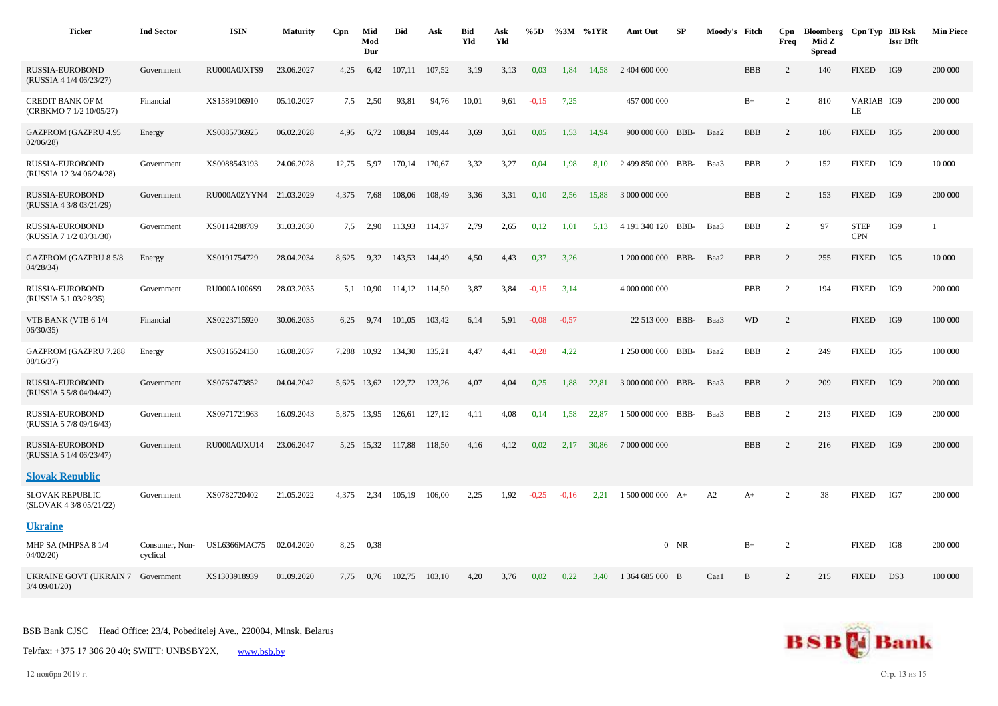| <b>Ticker</b>                                        | <b>Ind Sector</b>          | <b>ISIN</b>             | <b>Maturity</b> | Cpn   | Mid<br>Mod<br>Dur | <b>Bid</b> | Ask    | <b>Bid</b><br>Yld | Ask<br>Yld | %5D     | $\%3M$ %1YR |       | Amt Out            | SP     | Moody's Fitch |            | Cpn<br>Freq    | Bloomberg Cpn Typ BB Rsk<br>Mid Z<br><b>Spread</b> |                           | <b>Issr Dflt</b> | <b>Min Piece</b> |
|------------------------------------------------------|----------------------------|-------------------------|-----------------|-------|-------------------|------------|--------|-------------------|------------|---------|-------------|-------|--------------------|--------|---------------|------------|----------------|----------------------------------------------------|---------------------------|------------------|------------------|
| <b>RUSSIA-EUROBOND</b><br>(RUSSIA 4 1/4 06/23/27)    | Government                 | RU000A0JXTS9            | 23.06.2027      | 4,25  | 6,42              | 107,11     | 107,52 | 3,19              | 3,13       | 0,03    | 1,84        | 14.58 | 2 404 600 000      |        |               | <b>BBB</b> | 2              | 140                                                | <b>FIXED</b>              | IG9              | 200 000          |
| <b>CREDIT BANK OF M</b><br>(CRBKMO 7 1/2 10/05/27)   | Financial                  | XS1589106910            | 05.10.2027      | 7.5   | 2,50              | 93,81      | 94,76  | 10,01             | 9,61       | $-0.15$ | 7,25        |       | 457 000 000        |        |               | $B+$       | $\overline{2}$ | 810                                                | VARIAB IG9<br>LE          |                  | 200 000          |
| <b>GAZPROM (GAZPRU 4.95</b><br>02/06/28              | Energy                     | XS0885736925            | 06.02.2028      | 4,95  | 6,72              | 108,84     | 109,44 | 3,69              | 3,61       | 0,05    | 1,53        | 14,94 | 900 000 000 BBB-   |        | Baa2          | <b>BBB</b> | 2              | 186                                                | <b>FIXED</b>              | IG5              | 200 000          |
| RUSSIA-EUROBOND<br>(RUSSIA 12 3/4 06/24/28)          | Government                 | XS0088543193            | 24.06.2028      | 12,75 | 5,97              | 170,14     | 170,67 | 3,32              | 3,27       | 0,04    | 1,98        | 8.10  | 2 499 850 000 BBB- |        | Baa3          | <b>BBB</b> | 2              | 152                                                | <b>FIXED</b>              | IG9              | 10 000           |
| RUSSIA-EUROBOND<br>(RUSSIA 4 3/8 03/21/29)           | Government                 | RU000A0ZYYN4 21.03.2029 |                 | 4,375 | 7,68              | 108,06     | 108,49 | 3,36              | 3,31       | 0,10    | 2,56        | 15,88 | 3 000 000 000      |        |               | <b>BBB</b> | $\overline{c}$ | 153                                                | <b>FIXED</b>              | IG9              | 200 000          |
| RUSSIA-EUROBOND<br>(RUSSIA 7 1/2 03/31/30)           | Government                 | XS0114288789            | 31.03.2030      | 7,5   | 2,90              | 113,93     | 114,37 | 2,79              | 2,65       | 0,12    | 1,01        | 5,13  | 4 191 340 120 BBB- |        | Baa3          | <b>BBB</b> | 2              | 97                                                 | <b>STEP</b><br><b>CPN</b> | IG9              | 1                |
| <b>GAZPROM (GAZPRU 8 5/8</b><br>04/28/34             | Energy                     | XS0191754729            | 28.04.2034      | 8,625 | 9,32              | 143,53     | 144,49 | 4,50              | 4,43       | 0,37    | 3,26        |       | 1 200 000 000 BBB- |        | Baa2          | <b>BBB</b> | 2              | 255                                                | <b>FIXED</b>              | IG5              | 10 000           |
| RUSSIA-EUROBOND<br>(RUSSIA 5.1 03/28/35)             | Government                 | RU000A1006S9            | 28.03.2035      |       | 5,1 10,90         | 114,12     | 114,50 | 3,87              | 3,84       | $-0,15$ | 3,14        |       | 4 000 000 000      |        |               | <b>BBB</b> | $\overline{c}$ | 194                                                | <b>FIXED</b>              | IG9              | 200 000          |
| VTB BANK (VTB 61/4<br>06/30/35                       | Financial                  | XS0223715920            | 30.06.2035      | 6,25  | 9,74              | 101,05     | 103,42 | 6,14              | 5,91       | $-0.08$ | $-0,57$     |       | 22 513 000 BBB-    |        | Baa3          | <b>WD</b>  | 2              |                                                    | <b>FIXED</b>              | IG9              | 100 000          |
| GAZPROM (GAZPRU 7.288<br>08/16/37                    | Energy                     | XS0316524130            | 16.08.2037      | 7,288 | 10,92             | 134,30     | 135,21 | 4,47              | 4,41       | $-0,28$ | 4,22        |       | 1 250 000 000 BBB- |        | Baa2          | <b>BBB</b> | 2              | 249                                                | <b>FIXED</b>              | IG5              | 100 000          |
| <b>RUSSIA-EUROBOND</b><br>(RUSSIA 5 5/8 04/04/42)    | Government                 | XS0767473852            | 04.04.2042      |       | 5.625 13.62       | 122,72     | 123,26 | 4.07              | 4.04       | 0,25    | 1.88        | 22.81 | 3 000 000 000 BBB- |        | Baa3          | <b>BBB</b> | $\overline{c}$ | 209                                                | <b>FIXED</b>              | IG9              | 200 000          |
| RUSSIA-EUROBOND<br>(RUSSIA 5 7/8 09/16/43)           | Government                 | XS0971721963            | 16.09.2043      |       | 5,875 13,95       | 126,61     | 127,12 | 4,11              | 4,08       | 0,14    | 1,58        | 22,87 | 1 500 000 000 BBB- |        | Baa3          | <b>BBB</b> | $\overline{c}$ | 213                                                | <b>FIXED</b>              | IG9              | 200 000          |
| <b>RUSSIA-EUROBOND</b><br>(RUSSIA 5 1/4 06/23/47)    | Government                 | RU000A0JXU14            | 23.06.2047      |       | 5,25 15,32        | 117,88     | 118,50 | 4,16              | 4,12       | 0,02    | 2,17        | 30,86 | 7 000 000 000      |        |               | <b>BBB</b> | 2              | 216                                                | <b>FIXED</b>              | IG9              | 200 000          |
| <b>Slovak Republic</b>                               |                            |                         |                 |       |                   |            |        |                   |            |         |             |       |                    |        |               |            |                |                                                    |                           |                  |                  |
| <b>SLOVAK REPUBLIC</b><br>(SLOVAK 4 3/8 05/21/22)    | Government                 | XS0782720402            | 21.05.2022      | 4.375 | 2,34              | 105,19     | 106,00 | 2,25              | 1,92       | $-0,25$ | $-0,16$     | 2.21  | $1500000000A+$     |        | A2            | $A+$       | $\overline{2}$ | 38                                                 | <b>FIXED</b>              | IG7              | 200 000          |
| <b>Ukraine</b>                                       |                            |                         |                 |       |                   |            |        |                   |            |         |             |       |                    |        |               |            |                |                                                    |                           |                  |                  |
| MHP SA (MHPSA 8 1/4<br>04/02/20                      | Consumer, Non-<br>cyclical | <b>USL6366MAC75</b>     | 02.04.2020      | 8,25  | 0.38              |            |        |                   |            |         |             |       |                    | $0$ NR |               | $B+$       | 2              |                                                    | <b>FIXED</b>              | IG8              | 200 000          |
| UKRAINE GOVT (UKRAIN 7 Government<br>$3/4$ 09/01/20) |                            | XS1303918939            | 01.09.2020      | 7,75  | 0,76              | 102,75     | 103,10 | 4,20              | 3,76       | 0,02    | 0,22        | 3,40  | 1 364 685 000 B    |        | Caa1          | B          | 2              | 215                                                | <b>FIXED</b>              | DS3              | 100 000          |



12 ноября 2019 г. Стр. 13 из 15

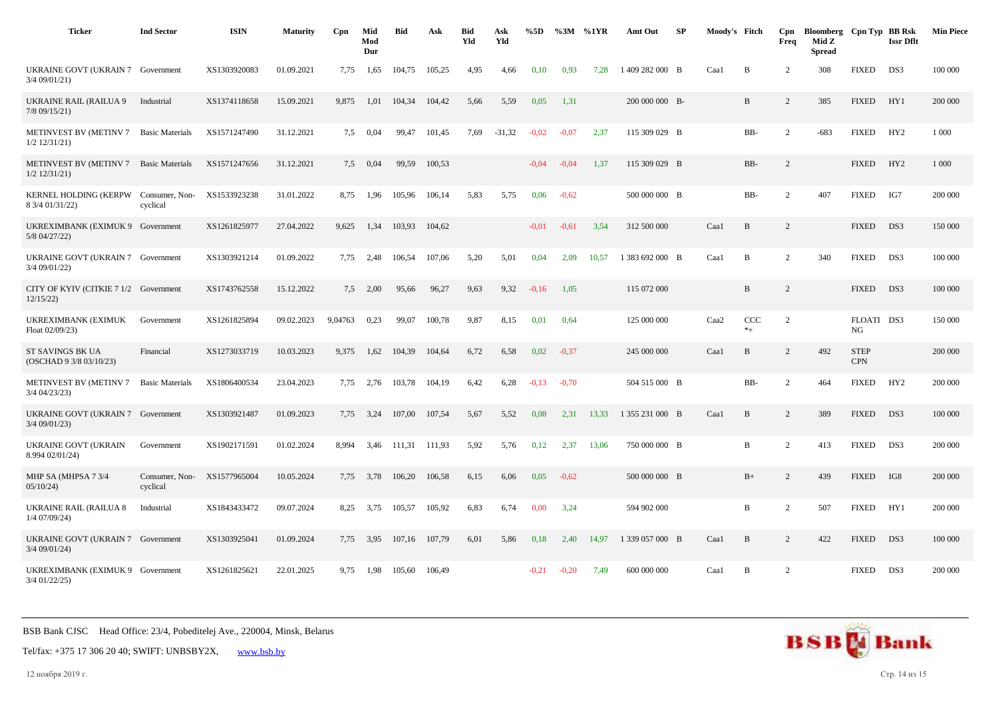| <b>Ticker</b>                                       | <b>Ind Sector</b>          | <b>ISIN</b>  | <b>Maturity</b> | Cpn     | Mid<br>Mod<br>Dur | <b>Bid</b> | Ask    | <b>Bid</b><br>Yld | Ask<br>Yld | %5D     | %3M     | %1YR  | Amt Out         | SP | Moody's Fitch |                | Cpn<br>Freq    | Bloomberg Cpn Typ BB Rsk<br>Mid Z<br>Spread |                           | <b>Issr Dflt</b> | <b>Min Piece</b> |
|-----------------------------------------------------|----------------------------|--------------|-----------------|---------|-------------------|------------|--------|-------------------|------------|---------|---------|-------|-----------------|----|---------------|----------------|----------------|---------------------------------------------|---------------------------|------------------|------------------|
| UKRAINE GOVT (UKRAIN 7 Government<br>3/4 09/01/21)  |                            | XS1303920083 | 01.09.2021      | 7,75    | 1,65              | 104,75     | 105,25 | 4,95              | 4,66       | 0,10    | 0.93    | 7.28  | 1409 282 000 B  |    | Caa1          | $\, {\bf B}$   | 2              | 308                                         | <b>FIXED</b>              | DS3              | 100 000          |
| <b>UKRAINE RAIL (RAILUA 9</b><br>$7/8$ 09/15/21)    | Industrial                 | XS1374118658 | 15.09.2021      | 9,875   | 1,01              | 104,34     | 104,42 | 5,66              | 5,59       | 0,05    | 1,31    |       | 200 000 000 B-  |    |               | B              | 2              | 385                                         | <b>FIXED</b>              | HY1              | 200 000          |
| <b>METINVEST BV (METINV 7</b><br>$1/2$ 12/31/21)    | <b>Basic Materials</b>     | XS1571247490 | 31.12.2021      | 7.5     | 0,04              | 99.47      | 101,45 | 7.69              | $-31,32$   | $-0.02$ | $-0.07$ | 2.37  | 115 309 029 B   |    |               | $BB-$          | 2              | $-683$                                      | <b>FIXED</b>              | HY2              | 1 0 0 0          |
| <b>METINVEST BV (METINV 7</b><br>$1/2$ $12/31/21$ ) | <b>Basic Materials</b>     | XS1571247656 | 31.12.2021      | 7,5     | 0,04              | 99,59      | 100,53 |                   |            | $-0.04$ | $-0.04$ | 1,37  | 115 309 029 B   |    |               | BB-            | $\overline{c}$ |                                             | <b>FIXED</b>              | HY <sub>2</sub>  | 1 0 0 0          |
| <b>KERNEL HOLDING (KERPW</b><br>8 3/4 01/31/22)     | Consumer, Non-<br>cyclical | XS1533923238 | 31.01.2022      | 8,75    | 1,96              | 105,96     | 106,14 | 5,83              | 5,75       | 0,06    | $-0,62$ |       | 500 000 000 B   |    |               | BB-            | 2              | 407                                         | <b>FIXED</b>              | IG7              | 200 000          |
| UKREXIMBANK (EXIMUK 9 Government<br>5/8 04/27/22)   |                            | XS1261825977 | 27.04.2022      | 9.625   | 1.34              | 103.93     | 104.62 |                   |            | $-0.01$ | $-0.61$ | 3.54  | 312 500 000     |    | Caa1          | $\mathbf{B}$   | 2              |                                             | <b>FIXED</b>              | DS3              | 150 000          |
| UKRAINE GOVT (UKRAIN 7 Government<br>3/4 09/01/22)  |                            | XS1303921214 | 01.09.2022      | 7,75    | 2,48              | 106,54     | 107,06 | 5,20              | 5,01       | 0,04    | 2,09    | 10,57 | 1 383 692 000 B |    | Caa1          | B              | 2              | 340                                         | <b>FIXED</b>              | DS3              | 100 000          |
| CITY OF KYIV (CITKIE 7 1/2 Government<br>12/15/22   |                            | XS1743762558 | 15.12.2022      | 7.5     | 2.00              | 95,66      | 96,27  | 9,63              | 9,32       | $-0.16$ | 1.05    |       | 115 072 000     |    |               | B              | 2              |                                             | <b>FIXED</b>              | DS3              | 100 000          |
| UKREXIMBANK (EXIMUK<br>Float 02/09/23)              | Government                 | XS1261825894 | 09.02.2023      | 9,04763 | 0,23              | 99,07      | 100,78 | 9,87              | 8,15       | 0,01    | 0,64    |       | 125 000 000     |    | Caa2          | CCC<br>$*_{+}$ | 2              |                                             | FLOATI DS3<br>NG          |                  | 150 000          |
| ST SAVINGS BK UA<br>(OSCHAD 9 3/8 03/10/23)         | Financial                  | XS1273033719 | 10.03.2023      | 9,375   | 1,62              | 104,39     | 104,64 | 6,72              | 6,58       | 0,02    | $-0,37$ |       | 245 000 000     |    | Caa1          | B              | 2              | 492                                         | <b>STEP</b><br><b>CPN</b> |                  | 200 000          |
| METINVEST BV (METINV 7<br>3/4 04/23/23)             | <b>Basic Materials</b>     | XS1806400534 | 23.04.2023      | 7.75    | 2,76              | 103,78     | 104,19 | 6,42              | 6,28       | $-0,13$ | $-0.70$ |       | 504 515 000 B   |    |               | BB-            | 2              | 464                                         | <b>FIXED</b>              | HY2              | 200 000          |
| UKRAINE GOVT (UKRAIN 7<br>3/4 09/01/23)             | Government                 | XS1303921487 | 01.09.2023      | 7.75    | 3,24              | 107.00     | 107,54 | 5,67              | 5,52       | 0,08    | 2,31    | 13.33 | 1 355 231 000 B |    | Caa1          | $\mathbf{B}$   | 2              | 389                                         | <b>FIXED</b>              | DS3              | 100 000          |
| UKRAINE GOVT (UKRAIN<br>8.994 02/01/24)             | Government                 | XS1902171591 | 01.02.2024      | 8,994   | 3,46              | 111,31     | 111,93 | 5,92              | 5,76       | 0,12    | 2,37    | 13,06 | 750 000 000 B   |    |               | B              | 2              | 413                                         | <b>FIXED</b>              | DS3              | 200 000          |
| MHP SA (MHPSA 7 3/4<br>05/10/24                     | Consumer, Non-<br>cyclical | XS1577965004 | 10.05.2024      | 7,75    | 3,78              | 106,20     | 106,58 | 6,15              | 6,06       | 0,05    | $-0,62$ |       | 500 000 000 B   |    |               | $B+$           | 2              | 439                                         | <b>FIXED</b>              | IG8              | 200 000          |
| <b>UKRAINE RAIL (RAILUA 8</b><br>$1/4$ 07/09/24)    | Industrial                 | XS1843433472 | 09.07.2024      | 8,25    | 3,75              | 105,57     | 105,92 | 6,83              | 6,74       | 0,00    | 3,24    |       | 594 902 000     |    |               | B              | 2              | 507                                         | <b>FIXED</b>              | HY1              | 200 000          |
| UKRAINE GOVT (UKRAIN 7 Government<br>3/4 09/01/24)  |                            | XS1303925041 | 01.09.2024      | 7,75    | 3,95              | 107.16     | 107,79 | 6,01              | 5,86       | 0,18    | 2,40    | 14.97 | 1 339 057 000 B |    | Caa1          | B              | 2              | 422                                         | <b>FIXED</b>              | DS3              | 100 000          |
| UKREXIMBANK (EXIMUK 9 Government<br>3/4 01/22/25)   |                            | XS1261825621 | 22.01.2025      | 9,75    | 1,98              | 105,60     | 106,49 |                   |            | $-0.21$ | $-0,20$ | 7,49  | 600 000 000     |    | Caa1          | B              | 2              |                                             | <b>FIXED</b>              | DS3              | 200 000          |

Tel/fax: +375 17 306 20 40; SWIFT: UNBSBY2X, [www.bsb.by](https://www.bsb.by/)

12 ноября 2019 г. Стр. 14 из 15